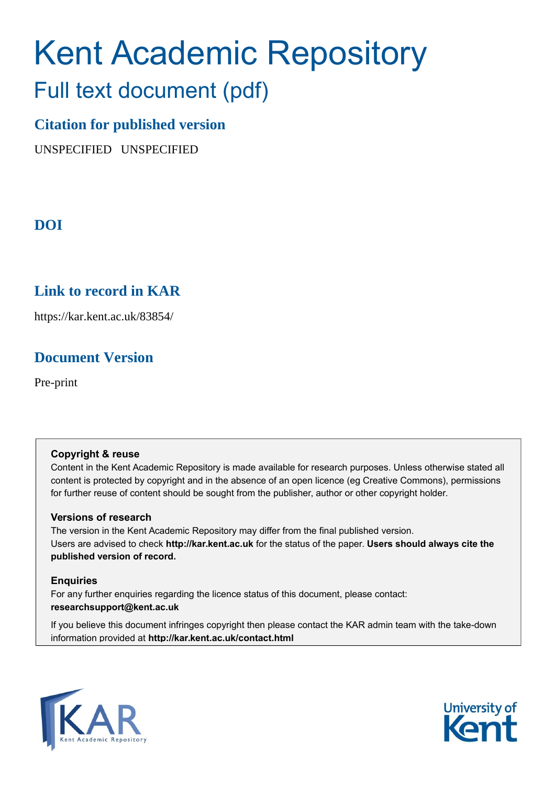# Kent Academic Repository

## Full text document (pdf)

## **Citation for published version**

UNSPECIFIED UNSPECIFIED

## **DOI**

## **Link to record in KAR**

https://kar.kent.ac.uk/83854/

## **Document Version**

Pre-print

#### **Copyright & reuse**

Content in the Kent Academic Repository is made available for research purposes. Unless otherwise stated all content is protected by copyright and in the absence of an open licence (eg Creative Commons), permissions for further reuse of content should be sought from the publisher, author or other copyright holder.

#### **Versions of research**

The version in the Kent Academic Repository may differ from the final published version. Users are advised to check **http://kar.kent.ac.uk** for the status of the paper. **Users should always cite the published version of record.**

#### **Enquiries**

For any further enquiries regarding the licence status of this document, please contact: **researchsupport@kent.ac.uk**

If you believe this document infringes copyright then please contact the KAR admin team with the take-down information provided at **http://kar.kent.ac.uk/contact.html**



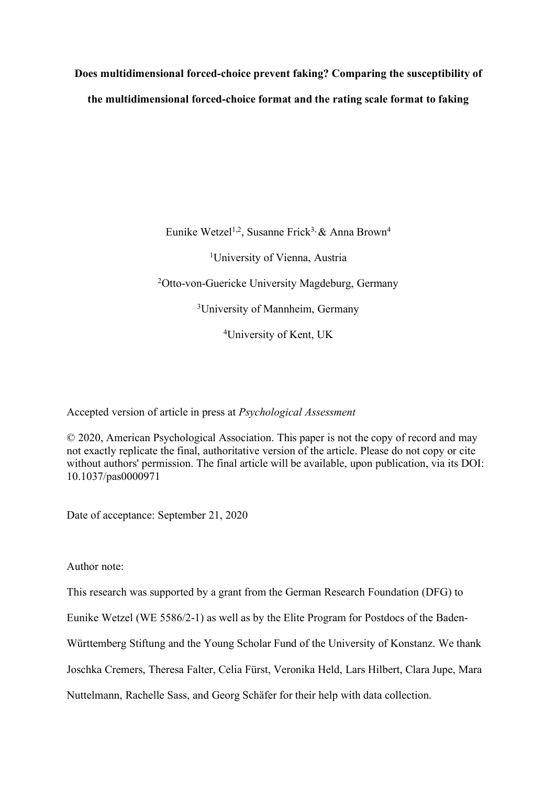**Does multidimensional forced-choice prevent faking? Comparing the susceptibility of the multidimensional forced-choice format and the rating scale format to faking**

> Eunike Wetzel<sup>1,2</sup>, Susanne Frick<sup>3,</sup> & Anna Brown<sup>4</sup> <sup>1</sup>University of Vienna, Austria 2 Otto-von-Guericke University Magdeburg, Germany 3 University of Mannheim, Germany 4University of Kent, UK

Accepted version of article in press at *Psychological Assessment*

© 2020, American Psychological Association. This paper is not the copy of record and may not exactly replicate the final, authoritative version of the article. Please do not copy or cite without authors' permission. The final article will be available, upon publication, via its DOI: 10.1037/pas0000971

Date of acceptance: September 21, 2020

Author note:

This research was supported by a grant from the German Research Foundation (DFG) to

Eunike Wetzel (WE 5586/2-1) as well as by the Elite Program for Postdocs of the Baden-

Württemberg Stiftung and the Young Scholar Fund of the University of Konstanz. We thank

Joschka Cremers, Theresa Falter, Celia Fürst, Veronika Held, Lars Hilbert, Clara Jupe, Mara

Nuttelmann, Rachelle Sass, and Georg Schäfer for their help with data collection.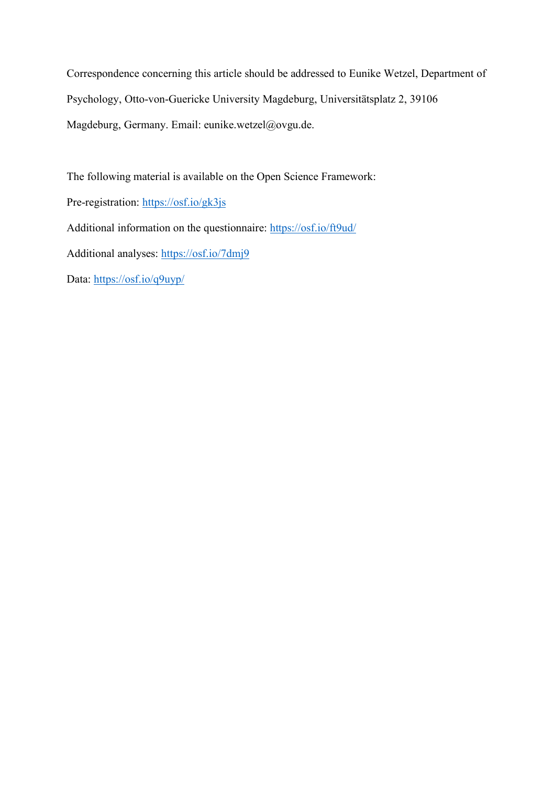Correspondence concerning this article should be addressed to Eunike Wetzel, Department of Psychology, Otto-von-Guericke University Magdeburg, Universitätsplatz 2, 39106 Magdeburg, Germany. Email: eunike.wetzel@ovgu.de.

The following material is available on the Open Science Framework:

Pre-registration: https://osf.io/gk3js

Additional information on the questionnaire: https://osf.io/ft9ud/

Additional analyses: https://osf.io/7dmj9

Data: https://osf.io/q9uyp/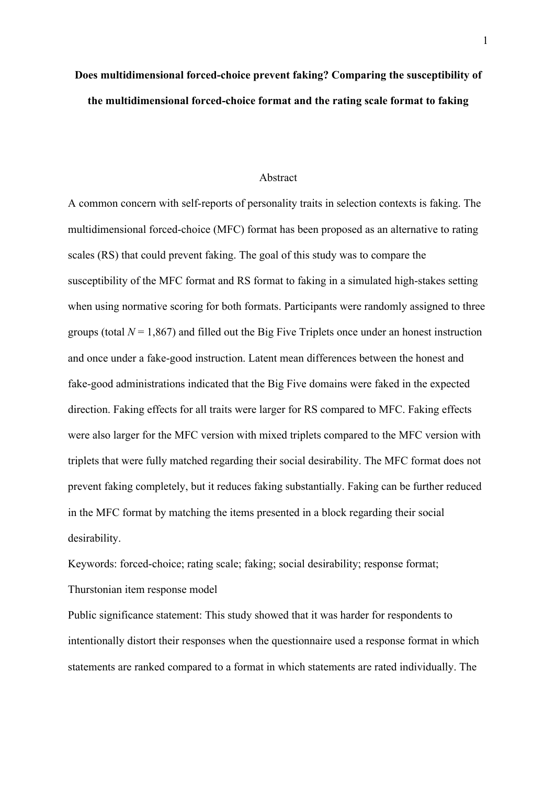## **Does multidimensional forced-choice prevent faking? Comparing the susceptibility of the multidimensional forced-choice format and the rating scale format to faking**

#### Abstract

A common concern with self-reports of personality traits in selection contexts is faking. The multidimensional forced-choice (MFC) format has been proposed as an alternative to rating scales (RS) that could prevent faking. The goal of this study was to compare the susceptibility of the MFC format and RS format to faking in a simulated high-stakes setting when using normative scoring for both formats. Participants were randomly assigned to three groups (total  $N = 1,867$ ) and filled out the Big Five Triplets once under an honest instruction and once under a fake-good instruction. Latent mean differences between the honest and fake-good administrations indicated that the Big Five domains were faked in the expected direction. Faking effects for all traits were larger for RS compared to MFC. Faking effects were also larger for the MFC version with mixed triplets compared to the MFC version with triplets that were fully matched regarding their social desirability. The MFC format does not prevent faking completely, but it reduces faking substantially. Faking can be further reduced in the MFC format by matching the items presented in a block regarding their social desirability.

Keywords: forced-choice; rating scale; faking; social desirability; response format; Thurstonian item response model

Public significance statement: This study showed that it was harder for respondents to intentionally distort their responses when the questionnaire used a response format in which statements are ranked compared to a format in which statements are rated individually. The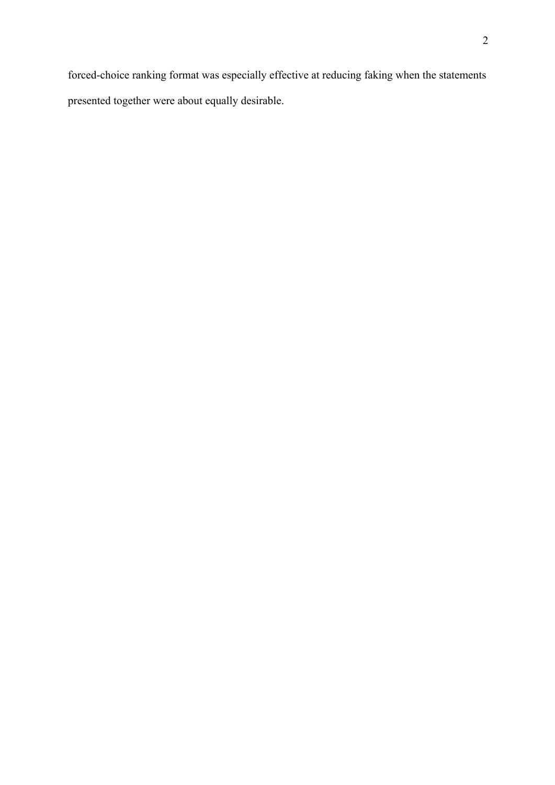forced-choice ranking format was especially effective at reducing faking when the statements presented together were about equally desirable.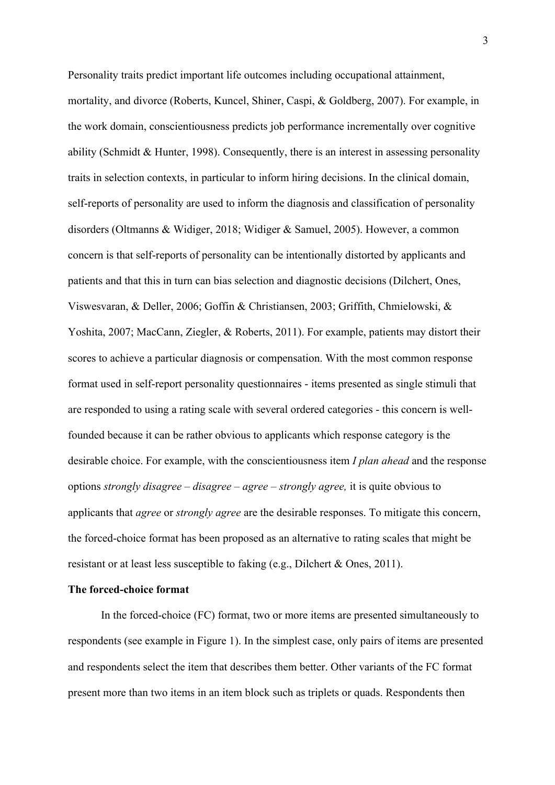Personality traits predict important life outcomes including occupational attainment, mortality, and divorce (Roberts, Kuncel, Shiner, Caspi, & Goldberg, 2007). For example, in the work domain, conscientiousness predicts job performance incrementally over cognitive ability (Schmidt & Hunter, 1998). Consequently, there is an interest in assessing personality traits in selection contexts, in particular to inform hiring decisions. In the clinical domain, self-reports of personality are used to inform the diagnosis and classification of personality disorders (Oltmanns & Widiger, 2018; Widiger & Samuel, 2005). However, a common concern is that self-reports of personality can be intentionally distorted by applicants and patients and that this in turn can bias selection and diagnostic decisions (Dilchert, Ones, Viswesvaran, & Deller, 2006; Goffin & Christiansen, 2003; Griffith, Chmielowski, & Yoshita, 2007; MacCann, Ziegler, & Roberts, 2011). For example, patients may distort their scores to achieve a particular diagnosis or compensation. With the most common response format used in self-report personality questionnaires - items presented as single stimuli that are responded to using a rating scale with several ordered categories - this concern is wellfounded because it can be rather obvious to applicants which response category is the desirable choice. For example, with the conscientiousness item *I plan ahead* and the response options *strongly disagree* – *disagree* – *agree* – *strongly agree,* it is quite obvious to applicants that *agree* or *strongly agree* are the desirable responses. To mitigate this concern, the forced-choice format has been proposed as an alternative to rating scales that might be resistant or at least less susceptible to faking (e.g., Dilchert & Ones, 2011).

#### **The forced-choice format**

In the forced-choice (FC) format, two or more items are presented simultaneously to respondents (see example in Figure 1). In the simplest case, only pairs of items are presented and respondents select the item that describes them better. Other variants of the FC format present more than two items in an item block such as triplets or quads. Respondents then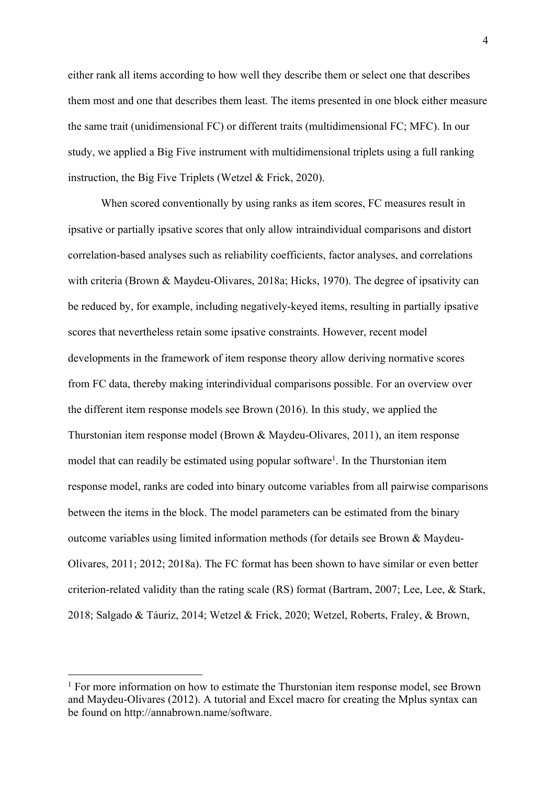either rank all items according to how well they describe them or select one that describes them most and one that describes them least. The items presented in one block either measure the same trait (unidimensional FC) or different traits (multidimensional FC; MFC). In our study, we applied a Big Five instrument with multidimensional triplets using a full ranking instruction, the Big Five Triplets (Wetzel & Frick, 2020).

When scored conventionally by using ranks as item scores, FC measures result in ipsative or partially ipsative scores that only allow intraindividual comparisons and distort correlation-based analyses such as reliability coefficients, factor analyses, and correlations with criteria (Brown & Maydeu-Olivares, 2018a; Hicks, 1970). The degree of ipsativity can be reduced by, for example, including negatively-keyed items, resulting in partially ipsative scores that nevertheless retain some ipsative constraints. However, recent model developments in the framework of item response theory allow deriving normative scores from FC data, thereby making interindividual comparisons possible. For an overview over the different item response models see Brown (2016). In this study, we applied the Thurstonian item response model (Brown & Maydeu-Olivares, 2011), an item response model that can readily be estimated using popular software<sup>1</sup>. In the Thurstonian item response model, ranks are coded into binary outcome variables from all pairwise comparisons between the items in the block. The model parameters can be estimated from the binary outcome variables using limited information methods (for details see Brown & Maydeu-Olivares, 2011; 2012; 2018a). The FC format has been shown to have similar or even better criterion-related validity than the rating scale (RS) format (Bartram, 2007; Lee, Lee, & Stark, 2018; Salgado & Táuriz, 2014; Wetzel & Frick, 2020; Wetzel, Roberts, Fraley, & Brown,

 $1$  For more information on how to estimate the Thurstonian item response model, see Brown and Maydeu-Olivares (2012). A tutorial and Excel macro for creating the Mplus syntax can be found on http://annabrown.name/software.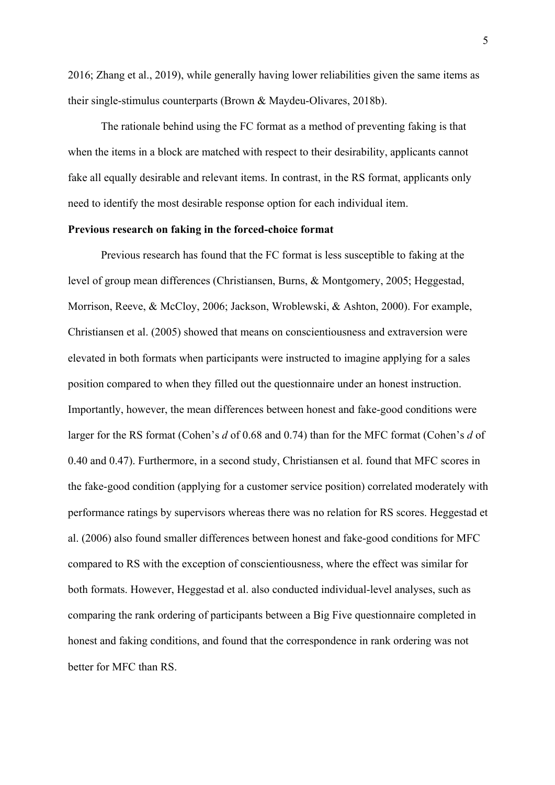2016; Zhang et al., 2019), while generally having lower reliabilities given the same items as their single-stimulus counterparts (Brown & Maydeu-Olivares, 2018b).

The rationale behind using the FC format as a method of preventing faking is that when the items in a block are matched with respect to their desirability, applicants cannot fake all equally desirable and relevant items. In contrast, in the RS format, applicants only need to identify the most desirable response option for each individual item.

#### **Previous research on faking in the forced-choice format**

Previous research has found that the FC format is less susceptible to faking at the level of group mean differences (Christiansen, Burns, & Montgomery, 2005; Heggestad, Morrison, Reeve, & McCloy, 2006; Jackson, Wroblewski, & Ashton, 2000). For example, Christiansen et al. (2005) showed that means on conscientiousness and extraversion were elevated in both formats when participants were instructed to imagine applying for a sales position compared to when they filled out the questionnaire under an honest instruction. Importantly, however, the mean differences between honest and fake-good conditions were larger for the RS format (Cohen's *d* of 0.68 and 0.74) than for the MFC format (Cohen's *d* of 0.40 and 0.47). Furthermore, in a second study, Christiansen et al. found that MFC scores in the fake-good condition (applying for a customer service position) correlated moderately with performance ratings by supervisors whereas there was no relation for RS scores. Heggestad et al. (2006) also found smaller differences between honest and fake-good conditions for MFC compared to RS with the exception of conscientiousness, where the effect was similar for both formats. However, Heggestad et al. also conducted individual-level analyses, such as comparing the rank ordering of participants between a Big Five questionnaire completed in honest and faking conditions, and found that the correspondence in rank ordering was not better for MFC than RS.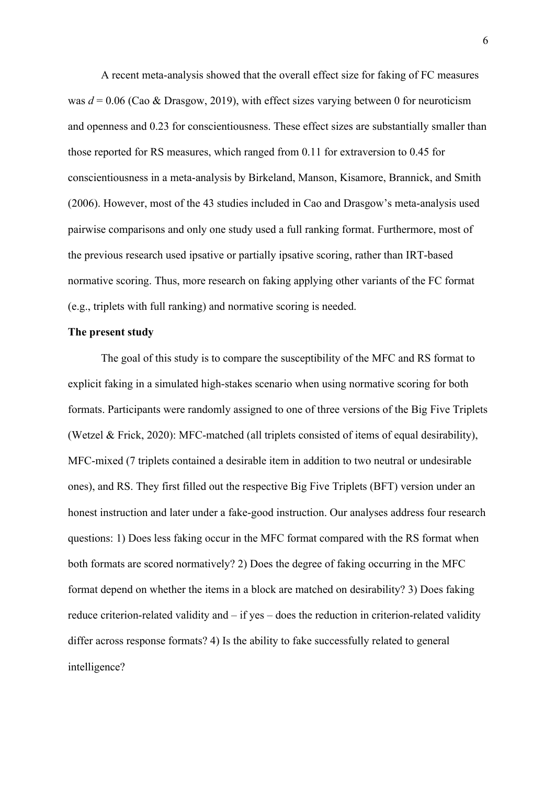A recent meta-analysis showed that the overall effect size for faking of FC measures was *d* = 0.06 (Cao & Drasgow, 2019), with effect sizes varying between 0 for neuroticism and openness and 0.23 for conscientiousness. These effect sizes are substantially smaller than those reported for RS measures, which ranged from 0.11 for extraversion to 0.45 for conscientiousness in a meta-analysis by Birkeland, Manson, Kisamore, Brannick, and Smith (2006). However, most of the 43 studies included in Cao and Drasgow's meta-analysis used pairwise comparisons and only one study used a full ranking format. Furthermore, most of the previous research used ipsative or partially ipsative scoring, rather than IRT-based normative scoring. Thus, more research on faking applying other variants of the FC format (e.g., triplets with full ranking) and normative scoring is needed.

#### **The present study**

The goal of this study is to compare the susceptibility of the MFC and RS format to explicit faking in a simulated high-stakes scenario when using normative scoring for both formats. Participants were randomly assigned to one of three versions of the Big Five Triplets (Wetzel & Frick, 2020): MFC-matched (all triplets consisted of items of equal desirability), MFC-mixed (7 triplets contained a desirable item in addition to two neutral or undesirable ones), and RS. They first filled out the respective Big Five Triplets (BFT) version under an honest instruction and later under a fake-good instruction. Our analyses address four research questions: 1) Does less faking occur in the MFC format compared with the RS format when both formats are scored normatively? 2) Does the degree of faking occurring in the MFC format depend on whether the items in a block are matched on desirability? 3) Does faking reduce criterion-related validity and – if yes – does the reduction in criterion-related validity differ across response formats? 4) Is the ability to fake successfully related to general intelligence?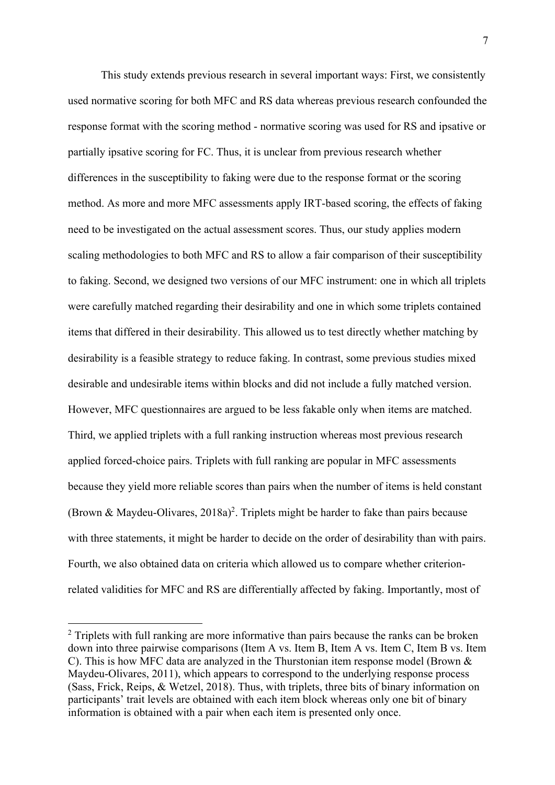This study extends previous research in several important ways: First, we consistently used normative scoring for both MFC and RS data whereas previous research confounded the response format with the scoring method - normative scoring was used for RS and ipsative or partially ipsative scoring for FC. Thus, it is unclear from previous research whether differences in the susceptibility to faking were due to the response format or the scoring method. As more and more MFC assessments apply IRT-based scoring, the effects of faking need to be investigated on the actual assessment scores. Thus, our study applies modern scaling methodologies to both MFC and RS to allow a fair comparison of their susceptibility to faking. Second, we designed two versions of our MFC instrument: one in which all triplets were carefully matched regarding their desirability and one in which some triplets contained items that differed in their desirability. This allowed us to test directly whether matching by desirability is a feasible strategy to reduce faking. In contrast, some previous studies mixed desirable and undesirable items within blocks and did not include a fully matched version. However, MFC questionnaires are argued to be less fakable only when items are matched. Third, we applied triplets with a full ranking instruction whereas most previous research applied forced-choice pairs. Triplets with full ranking are popular in MFC assessments because they yield more reliable scores than pairs when the number of items is held constant (Brown & Maydeu-Olivares, 2018a) 2. Triplets might be harder to fake than pairs because with three statements, it might be harder to decide on the order of desirability than with pairs. Fourth, we also obtained data on criteria which allowed us to compare whether criterionrelated validities for MFC and RS are differentially affected by faking. Importantly, most of

 $2$  Triplets with full ranking are more informative than pairs because the ranks can be broken down into three pairwise comparisons (Item A vs. Item B, Item A vs. Item C, Item B vs. Item C). This is how MFC data are analyzed in the Thurstonian item response model (Brown & Maydeu-Olivares, 2011), which appears to correspond to the underlying response process (Sass, Frick, Reips, & Wetzel, 2018). Thus, with triplets, three bits of binary information on participants' trait levels are obtained with each item block whereas only one bit of binary information is obtained with a pair when each item is presented only once.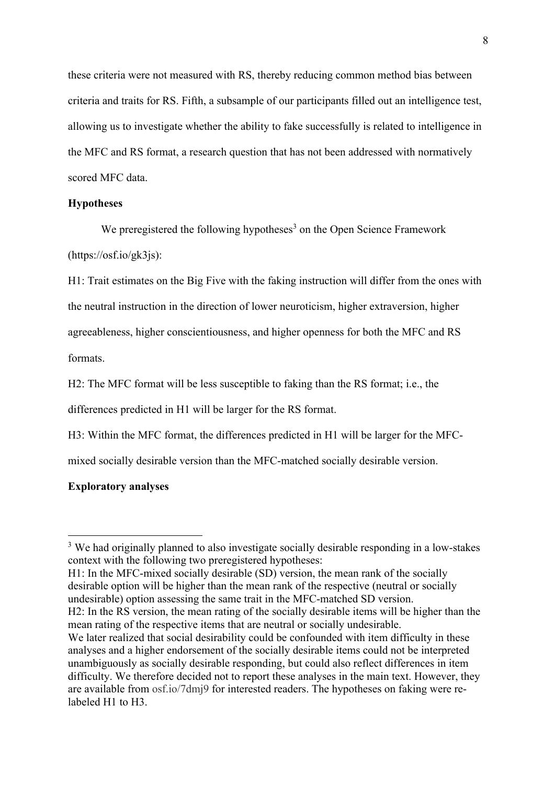these criteria were not measured with RS, thereby reducing common method bias between criteria and traits for RS. Fifth, a subsample of our participants filled out an intelligence test, allowing us to investigate whether the ability to fake successfully is related to intelligence in the MFC and RS format, a research question that has not been addressed with normatively scored MFC data.

#### **Hypotheses**

We preregistered the following hypotheses<sup>3</sup> on the Open Science Framework (https://osf.io/gk3js):

H1: Trait estimates on the Big Five with the faking instruction will differ from the ones with the neutral instruction in the direction of lower neuroticism, higher extraversion, higher agreeableness, higher conscientiousness, and higher openness for both the MFC and RS formats.

H2: The MFC format will be less susceptible to faking than the RS format; i.e., the

differences predicted in H1 will be larger for the RS format.

H3: Within the MFC format, the differences predicted in H1 will be larger for the MFC-

mixed socially desirable version than the MFC-matched socially desirable version.

#### **Exploratory analyses**

<sup>&</sup>lt;sup>3</sup> We had originally planned to also investigate socially desirable responding in a low-stakes context with the following two preregistered hypotheses:

H1: In the MFC-mixed socially desirable (SD) version, the mean rank of the socially desirable option will be higher than the mean rank of the respective (neutral or socially undesirable) option assessing the same trait in the MFC-matched SD version.

H2: In the RS version, the mean rating of the socially desirable items will be higher than the mean rating of the respective items that are neutral or socially undesirable.

We later realized that social desirability could be confounded with item difficulty in these analyses and a higher endorsement of the socially desirable items could not be interpreted unambiguously as socially desirable responding, but could also reflect differences in item difficulty. We therefore decided not to report these analyses in the main text. However, they are available from osf.io/7dmj9 for interested readers. The hypotheses on faking were relabeled H1 to H3.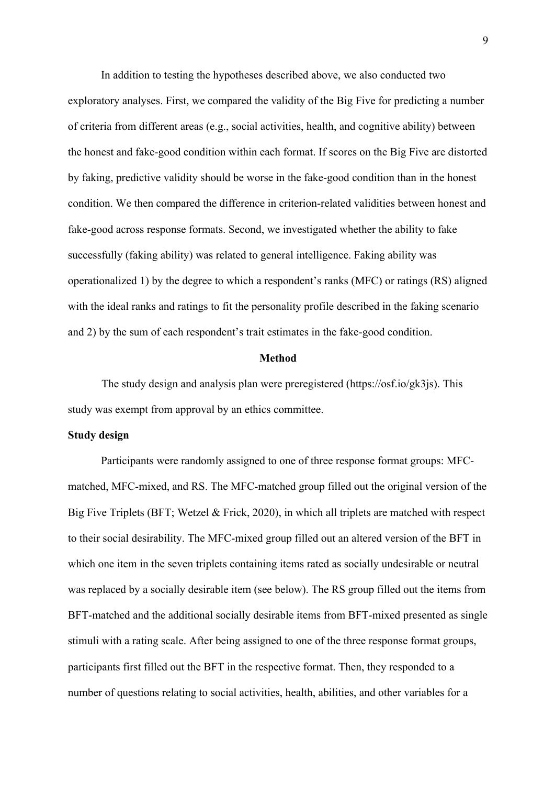In addition to testing the hypotheses described above, we also conducted two exploratory analyses. First, we compared the validity of the Big Five for predicting a number of criteria from different areas (e.g., social activities, health, and cognitive ability) between the honest and fake-good condition within each format. If scores on the Big Five are distorted by faking, predictive validity should be worse in the fake-good condition than in the honest condition. We then compared the difference in criterion-related validities between honest and fake-good across response formats. Second, we investigated whether the ability to fake successfully (faking ability) was related to general intelligence. Faking ability was operationalized 1) by the degree to which a respondent's ranks (MFC) or ratings (RS) aligned with the ideal ranks and ratings to fit the personality profile described in the faking scenario and 2) by the sum of each respondent's trait estimates in the fake-good condition.

#### **Method**

The study design and analysis plan were preregistered (https://osf.io/gk3js). This study was exempt from approval by an ethics committee.

#### **Study design**

Participants were randomly assigned to one of three response format groups: MFCmatched, MFC-mixed, and RS. The MFC-matched group filled out the original version of the Big Five Triplets (BFT; Wetzel & Frick, 2020), in which all triplets are matched with respect to their social desirability. The MFC-mixed group filled out an altered version of the BFT in which one item in the seven triplets containing items rated as socially undesirable or neutral was replaced by a socially desirable item (see below). The RS group filled out the items from BFT-matched and the additional socially desirable items from BFT-mixed presented as single stimuli with a rating scale. After being assigned to one of the three response format groups, participants first filled out the BFT in the respective format. Then, they responded to a number of questions relating to social activities, health, abilities, and other variables for a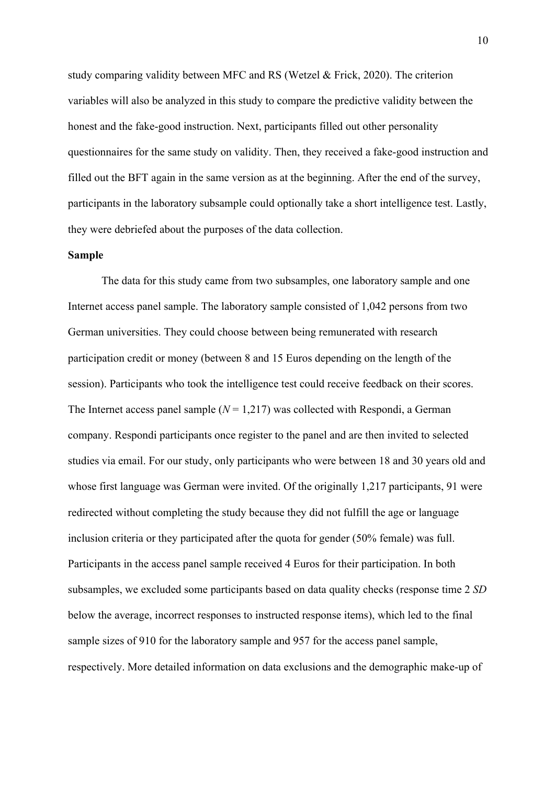study comparing validity between MFC and RS (Wetzel & Frick, 2020). The criterion variables will also be analyzed in this study to compare the predictive validity between the honest and the fake-good instruction. Next, participants filled out other personality questionnaires for the same study on validity. Then, they received a fake-good instruction and filled out the BFT again in the same version as at the beginning. After the end of the survey, participants in the laboratory subsample could optionally take a short intelligence test. Lastly, they were debriefed about the purposes of the data collection.

#### **Sample**

The data for this study came from two subsamples, one laboratory sample and one Internet access panel sample. The laboratory sample consisted of 1,042 persons from two German universities. They could choose between being remunerated with research participation credit or money (between 8 and 15 Euros depending on the length of the session). Participants who took the intelligence test could receive feedback on their scores. The Internet access panel sample  $(N = 1,217)$  was collected with Respondi, a German company. Respondi participants once register to the panel and are then invited to selected studies via email. For our study, only participants who were between 18 and 30 years old and whose first language was German were invited. Of the originally 1,217 participants, 91 were redirected without completing the study because they did not fulfill the age or language inclusion criteria or they participated after the quota for gender (50% female) was full. Participants in the access panel sample received 4 Euros for their participation. In both subsamples, we excluded some participants based on data quality checks (response time 2 *SD* below the average, incorrect responses to instructed response items), which led to the final sample sizes of 910 for the laboratory sample and 957 for the access panel sample, respectively. More detailed information on data exclusions and the demographic make-up of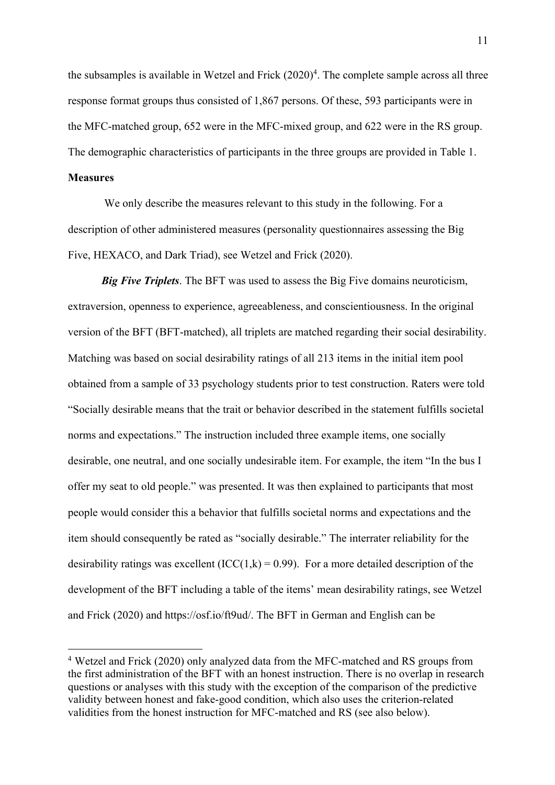the subsamples is available in Wetzel and Frick (2020) 4 . The complete sample across all three response format groups thus consisted of 1,867 persons. Of these, 593 participants were in the MFC-matched group, 652 were in the MFC-mixed group, and 622 were in the RS group. The demographic characteristics of participants in the three groups are provided in Table 1.

#### **Measures**

We only describe the measures relevant to this study in the following. For a description of other administered measures (personality questionnaires assessing the Big Five, HEXACO, and Dark Triad), see Wetzel and Frick (2020).

*Big Five Triplets*. The BFT was used to assess the Big Five domains neuroticism, extraversion, openness to experience, agreeableness, and conscientiousness. In the original version of the BFT (BFT-matched), all triplets are matched regarding their social desirability. Matching was based on social desirability ratings of all 213 items in the initial item pool obtained from a sample of 33 psychology students prior to test construction. Raters were told "Socially desirable means that the trait or behavior described in the statement fulfills societal norms and expectations." The instruction included three example items, one socially desirable, one neutral, and one socially undesirable item. For example, the item "In the bus I offer my seat to old people." was presented. It was then explained to participants that most people would consider this a behavior that fulfills societal norms and expectations and the item should consequently be rated as "socially desirable." The interrater reliability for the desirability ratings was excellent  $(ICC(1,k) = 0.99)$ . For a more detailed description of the development of the BFT including a table of the items' mean desirability ratings, see Wetzel and Frick (2020) and https://osf.io/ft9ud/. The BFT in German and English can be

<sup>4</sup> Wetzel and Frick (2020) only analyzed data from the MFC-matched and RS groups from the first administration of the BFT with an honest instruction. There is no overlap in research questions or analyses with this study with the exception of the comparison of the predictive validity between honest and fake-good condition, which also uses the criterion-related validities from the honest instruction for MFC-matched and RS (see also below).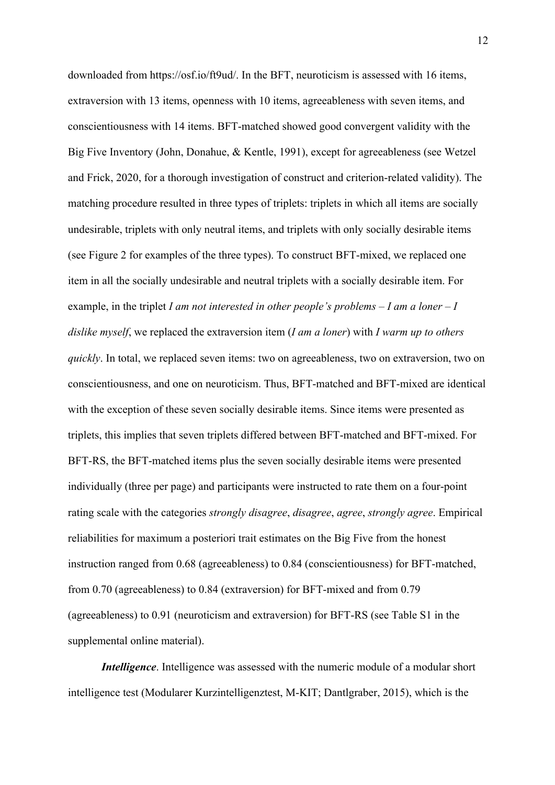downloaded from https://osf.io/ft9ud/. In the BFT, neuroticism is assessed with 16 items, extraversion with 13 items, openness with 10 items, agreeableness with seven items, and conscientiousness with 14 items. BFT-matched showed good convergent validity with the Big Five Inventory (John, Donahue, & Kentle, 1991), except for agreeableness (see Wetzel and Frick, 2020, for a thorough investigation of construct and criterion-related validity). The matching procedure resulted in three types of triplets: triplets in which all items are socially undesirable, triplets with only neutral items, and triplets with only socially desirable items (see Figure 2 for examples of the three types). To construct BFT-mixed, we replaced one item in all the socially undesirable and neutral triplets with a socially desirable item. For example, in the triplet *I am not interested in other people's problems – I am a loner – I dislike myself*, we replaced the extraversion item (*I am a loner*) with *I warm up to others quickly*. In total, we replaced seven items: two on agreeableness, two on extraversion, two on conscientiousness, and one on neuroticism. Thus, BFT-matched and BFT-mixed are identical with the exception of these seven socially desirable items. Since items were presented as triplets, this implies that seven triplets differed between BFT-matched and BFT-mixed. For BFT-RS, the BFT-matched items plus the seven socially desirable items were presented individually (three per page) and participants were instructed to rate them on a four-point rating scale with the categories *strongly disagree*, *disagree*, *agree*, *strongly agree*. Empirical reliabilities for maximum a posteriori trait estimates on the Big Five from the honest instruction ranged from 0.68 (agreeableness) to 0.84 (conscientiousness) for BFT-matched, from 0.70 (agreeableness) to 0.84 (extraversion) for BFT-mixed and from 0.79 (agreeableness) to 0.91 (neuroticism and extraversion) for BFT-RS (see Table S1 in the supplemental online material).

*Intelligence*. Intelligence was assessed with the numeric module of a modular short intelligence test (Modularer Kurzintelligenztest, M-KIT; Dantlgraber, 2015), which is the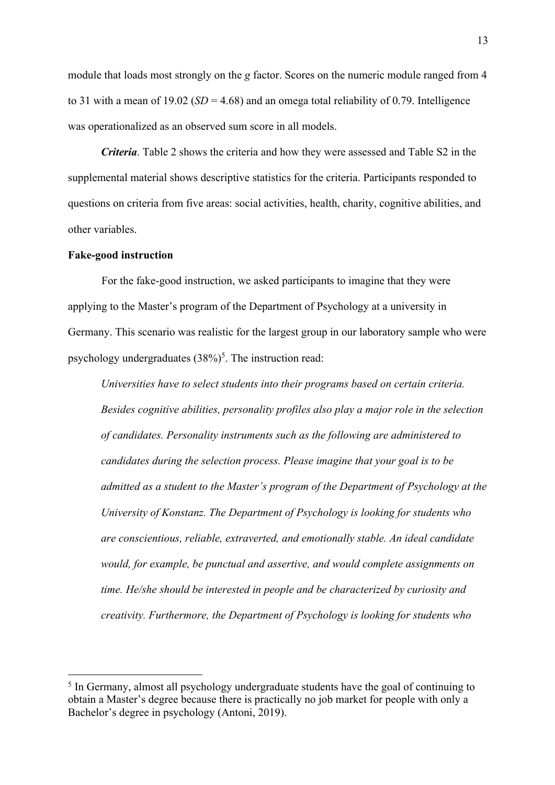module that loads most strongly on the *g* factor. Scores on the numeric module ranged from 4 to 31 with a mean of 19.02 ( $SD = 4.68$ ) and an omega total reliability of 0.79. Intelligence was operationalized as an observed sum score in all models.

*Criteria*. Table 2 shows the criteria and how they were assessed and Table S2 in the supplemental material shows descriptive statistics for the criteria. Participants responded to questions on criteria from five areas: social activities, health, charity, cognitive abilities, and other variables.

#### **Fake-good instruction**

For the fake-good instruction, we asked participants to imagine that they were applying to the Master's program of the Department of Psychology at a university in Germany. This scenario was realistic for the largest group in our laboratory sample who were psychology undergraduates (38%)<sup>5</sup>. The instruction read:

*Universities have to select students into their programs based on certain criteria. Besides cognitive abilities, personality profiles also play a major role in the selection of candidates. Personality instruments such as the following are administered to candidates during the selection process. Please imagine that your goal is to be admitted as a student to the Master's program of the Department of Psychology at the University of Konstanz. The Department of Psychology is looking for students who are conscientious, reliable, extraverted, and emotionally stable. An ideal candidate would, for example, be punctual and assertive, and would complete assignments on time. He/she should be interested in people and be characterized by curiosity and creativity. Furthermore, the Department of Psychology is looking for students who* 

<sup>&</sup>lt;sup>5</sup> In Germany, almost all psychology undergraduate students have the goal of continuing to obtain a Master's degree because there is practically no job market for people with only a Bachelor's degree in psychology (Antoni, 2019).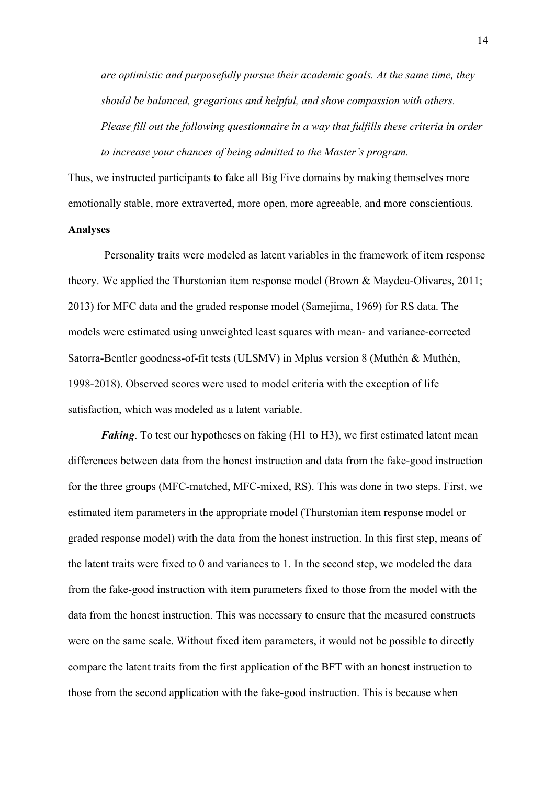*are optimistic and purposefully pursue their academic goals. At the same time, they should be balanced, gregarious and helpful, and show compassion with others. Please fill out the following questionnaire in a way that fulfills these criteria in order to increase your chances of being admitted to the Master's program.*

Thus, we instructed participants to fake all Big Five domains by making themselves more emotionally stable, more extraverted, more open, more agreeable, and more conscientious.

#### **Analyses**

Personality traits were modeled as latent variables in the framework of item response theory. We applied the Thurstonian item response model (Brown & Maydeu-Olivares, 2011; 2013) for MFC data and the graded response model (Samejima, 1969) for RS data. The models were estimated using unweighted least squares with mean- and variance-corrected Satorra-Bentler goodness-of-fit tests (ULSMV) in Mplus version 8 (Muthén & Muthén, 1998-2018). Observed scores were used to model criteria with the exception of life satisfaction, which was modeled as a latent variable.

*Faking*. To test our hypotheses on faking (H<sub>1</sub> to H<sub>3</sub>), we first estimated latent mean differences between data from the honest instruction and data from the fake-good instruction for the three groups (MFC-matched, MFC-mixed, RS). This was done in two steps. First, we estimated item parameters in the appropriate model (Thurstonian item response model or graded response model) with the data from the honest instruction. In this first step, means of the latent traits were fixed to 0 and variances to 1. In the second step, we modeled the data from the fake-good instruction with item parameters fixed to those from the model with the data from the honest instruction. This was necessary to ensure that the measured constructs were on the same scale. Without fixed item parameters, it would not be possible to directly compare the latent traits from the first application of the BFT with an honest instruction to those from the second application with the fake-good instruction. This is because when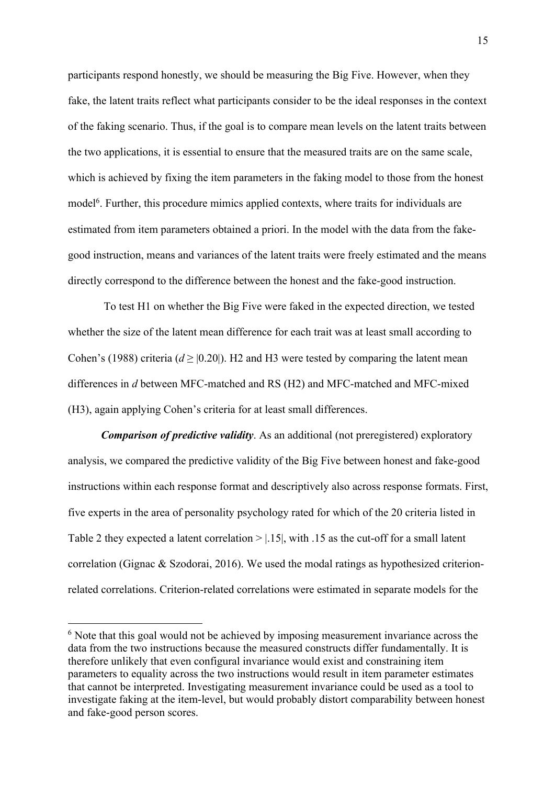participants respond honestly, we should be measuring the Big Five. However, when they fake, the latent traits reflect what participants consider to be the ideal responses in the context of the faking scenario. Thus, if the goal is to compare mean levels on the latent traits between the two applications, it is essential to ensure that the measured traits are on the same scale, which is achieved by fixing the item parameters in the faking model to those from the honest model<sup>6</sup>. Further, this procedure mimics applied contexts, where traits for individuals are estimated from item parameters obtained a priori. In the model with the data from the fakegood instruction, means and variances of the latent traits were freely estimated and the means directly correspond to the difference between the honest and the fake-good instruction.

To test H1 on whether the Big Five were faked in the expected direction, we tested whether the size of the latent mean difference for each trait was at least small according to Cohen's (1988) criteria ( $d \ge |0.20|$ ). H2 and H3 were tested by comparing the latent mean differences in *d* between MFC-matched and RS (H2) and MFC-matched and MFC-mixed (H3), again applying Cohen's criteria for at least small differences.

*Comparison of predictive validity.* As an additional (not preregistered) exploratory analysis, we compared the predictive validity of the Big Five between honest and fake-good instructions within each response format and descriptively also across response formats. First, five experts in the area of personality psychology rated for which of the 20 criteria listed in Table 2 they expected a latent correlation  $> |.15|$ , with  $.15$  as the cut-off for a small latent correlation (Gignac & Szodorai, 2016). We used the modal ratings as hypothesized criterionrelated correlations. Criterion-related correlations were estimated in separate models for the

<sup>&</sup>lt;sup>6</sup> Note that this goal would not be achieved by imposing measurement invariance across the data from the two instructions because the measured constructs differ fundamentally. It is therefore unlikely that even configural invariance would exist and constraining item parameters to equality across the two instructions would result in item parameter estimates that cannot be interpreted. Investigating measurement invariance could be used as a tool to investigate faking at the item-level, but would probably distort comparability between honest and fake-good person scores.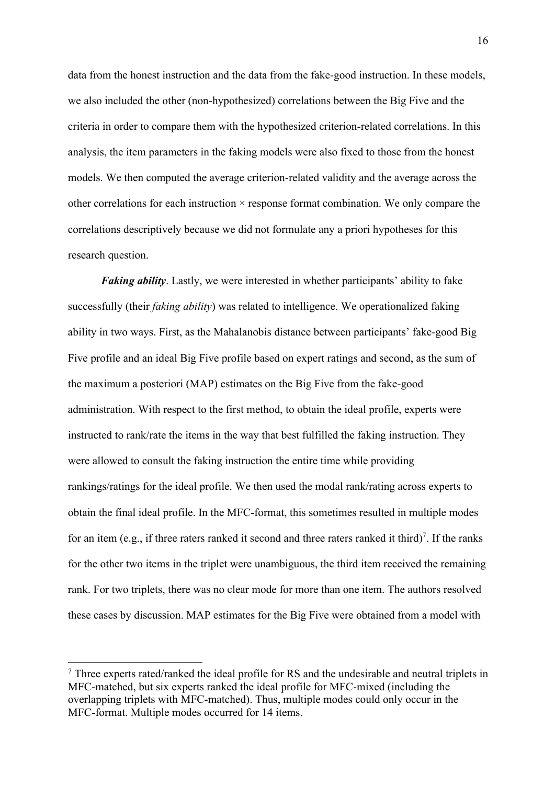data from the honest instruction and the data from the fake-good instruction. In these models, we also included the other (non-hypothesized) correlations between the Big Five and the criteria in order to compare them with the hypothesized criterion-related correlations. In this analysis, the item parameters in the faking models were also fixed to those from the honest models. We then computed the average criterion-related validity and the average across the other correlations for each instruction  $\times$  response format combination. We only compare the correlations descriptively because we did not formulate any a priori hypotheses for this research question.

*Faking ability*. Lastly, we were interested in whether participants' ability to fake successfully (their *faking ability*) was related to intelligence. We operationalized faking ability in two ways. First, as the Mahalanobis distance between participants' fake-good Big Five profile and an ideal Big Five profile based on expert ratings and second, as the sum of the maximum a posteriori (MAP) estimates on the Big Five from the fake-good administration. With respect to the first method, to obtain the ideal profile, experts were instructed to rank/rate the items in the way that best fulfilled the faking instruction. They were allowed to consult the faking instruction the entire time while providing rankings/ratings for the ideal profile. We then used the modal rank/rating across experts to obtain the final ideal profile. In the MFC-format, this sometimes resulted in multiple modes for an item (e.g., if three raters ranked it second and three raters ranked it third)<sup>7</sup>. If the ranks for the other two items in the triplet were unambiguous, the third item received the remaining rank. For two triplets, there was no clear mode for more than one item. The authors resolved these cases by discussion. MAP estimates for the Big Five were obtained from a model with

<sup>&</sup>lt;sup>7</sup> Three experts rated/ranked the ideal profile for RS and the undesirable and neutral triplets in MFC-matched, but six experts ranked the ideal profile for MFC-mixed (including the overlapping triplets with MFC-matched). Thus, multiple modes could only occur in the MFC-format. Multiple modes occurred for 14 items.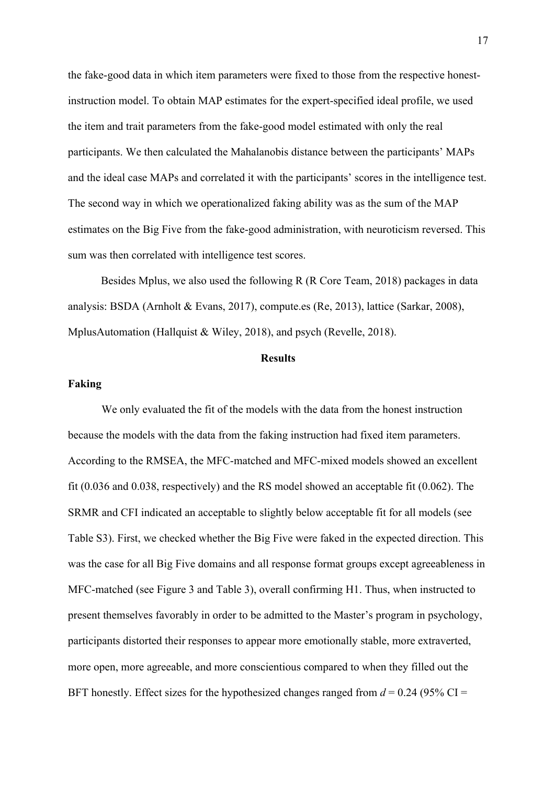the fake-good data in which item parameters were fixed to those from the respective honestinstruction model. To obtain MAP estimates for the expert-specified ideal profile, we used the item and trait parameters from the fake-good model estimated with only the real participants. We then calculated the Mahalanobis distance between the participants' MAPs and the ideal case MAPs and correlated it with the participants' scores in the intelligence test. The second way in which we operationalized faking ability was as the sum of the MAP estimates on the Big Five from the fake-good administration, with neuroticism reversed. This sum was then correlated with intelligence test scores.

Besides Mplus, we also used the following R (R Core Team, 2018) packages in data analysis: BSDA (Arnholt & Evans, 2017), compute.es (Re, 2013), lattice (Sarkar, 2008), MplusAutomation (Hallquist & Wiley, 2018), and psych (Revelle, 2018).

#### **Results**

#### **Faking**

We only evaluated the fit of the models with the data from the honest instruction because the models with the data from the faking instruction had fixed item parameters. According to the RMSEA, the MFC-matched and MFC-mixed models showed an excellent fit (0.036 and 0.038, respectively) and the RS model showed an acceptable fit (0.062). The SRMR and CFI indicated an acceptable to slightly below acceptable fit for all models (see Table S3). First, we checked whether the Big Five were faked in the expected direction. This was the case for all Big Five domains and all response format groups except agreeableness in MFC-matched (see Figure 3 and Table 3), overall confirming H1. Thus, when instructed to present themselves favorably in order to be admitted to the Master's program in psychology, participants distorted their responses to appear more emotionally stable, more extraverted, more open, more agreeable, and more conscientious compared to when they filled out the BFT honestly. Effect sizes for the hypothesized changes ranged from  $d = 0.24$  (95% CI =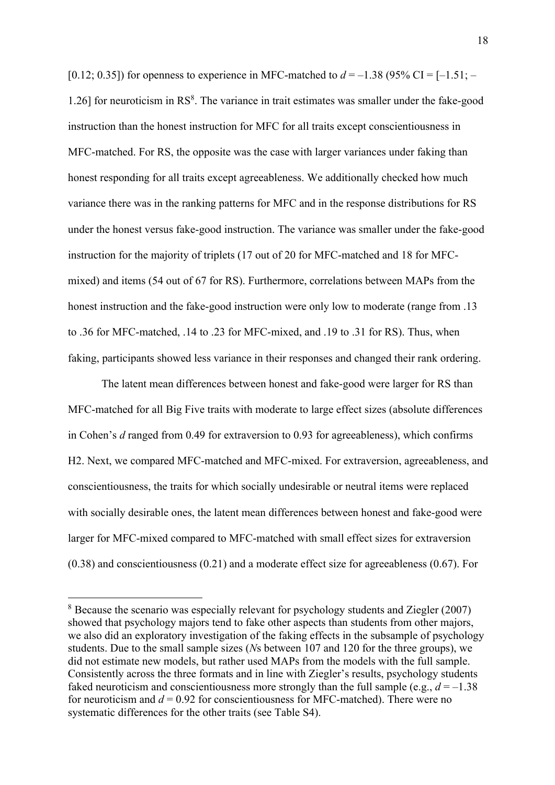[0.12; 0.35]) for openness to experience in MFC-matched to  $d = -1.38$  (95% CI = [-1.51; – 1.26] for neuroticism in RS<sup>8</sup>. The variance in trait estimates was smaller under the fake-good instruction than the honest instruction for MFC for all traits except conscientiousness in MFC-matched. For RS, the opposite was the case with larger variances under faking than honest responding for all traits except agreeableness. We additionally checked how much variance there was in the ranking patterns for MFC and in the response distributions for RS under the honest versus fake-good instruction. The variance was smaller under the fake-good instruction for the majority of triplets (17 out of 20 for MFC-matched and 18 for MFCmixed) and items (54 out of 67 for RS). Furthermore, correlations between MAPs from the honest instruction and the fake-good instruction were only low to moderate (range from .13 to .36 for MFC-matched, .14 to .23 for MFC-mixed, and .19 to .31 for RS). Thus, when faking, participants showed less variance in their responses and changed their rank ordering.

The latent mean differences between honest and fake-good were larger for RS than MFC-matched for all Big Five traits with moderate to large effect sizes (absolute differences in Cohen's *d* ranged from 0.49 for extraversion to 0.93 for agreeableness), which confirms H2. Next, we compared MFC-matched and MFC-mixed. For extraversion, agreeableness, and conscientiousness, the traits for which socially undesirable or neutral items were replaced with socially desirable ones, the latent mean differences between honest and fake-good were larger for MFC-mixed compared to MFC-matched with small effect sizes for extraversion  $(0.38)$  and conscientiousness  $(0.21)$  and a moderate effect size for agreeableness  $(0.67)$ . For

<sup>8</sup> Because the scenario was especially relevant for psychology students and Ziegler (2007) showed that psychology majors tend to fake other aspects than students from other majors, we also did an exploratory investigation of the faking effects in the subsample of psychology students. Due to the small sample sizes (*N*s between 107 and 120 for the three groups), we did not estimate new models, but rather used MAPs from the models with the full sample. Consistently across the three formats and in line with Ziegler's results, psychology students faked neuroticism and conscientiousness more strongly than the full sample (e.g.,  $d = -1.38$ ) for neuroticism and  $d = 0.92$  for conscientiousness for MFC-matched). There were no systematic differences for the other traits (see Table S4).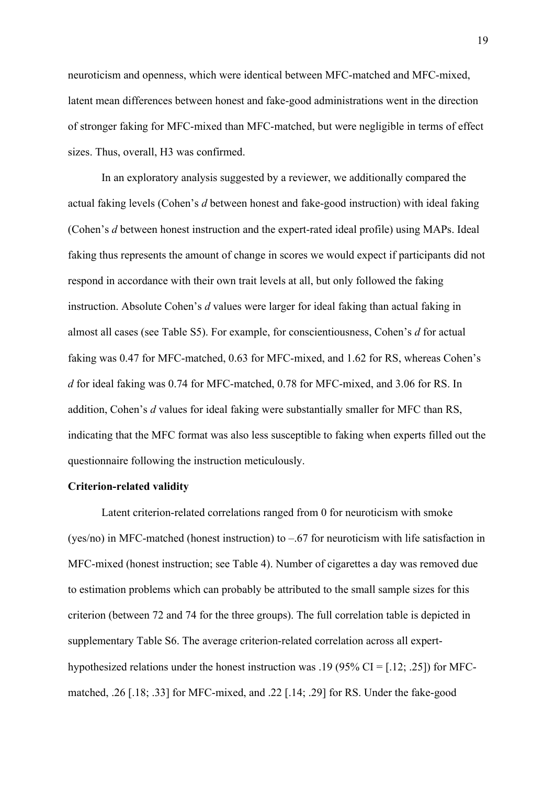neuroticism and openness, which were identical between MFC-matched and MFC-mixed, latent mean differences between honest and fake-good administrations went in the direction of stronger faking for MFC-mixed than MFC-matched, but were negligible in terms of effect sizes. Thus, overall, H3 was confirmed.

In an exploratory analysis suggested by a reviewer, we additionally compared the actual faking levels (Cohen's *d* between honest and fake-good instruction) with ideal faking (Cohen's *d* between honest instruction and the expert-rated ideal profile) using MAPs. Ideal faking thus represents the amount of change in scores we would expect if participants did not respond in accordance with their own trait levels at all, but only followed the faking instruction. Absolute Cohen's *d* values were larger for ideal faking than actual faking in almost all cases (see Table S5). For example, for conscientiousness, Cohen's *d* for actual faking was 0.47 for MFC-matched, 0.63 for MFC-mixed, and 1.62 for RS, whereas Cohen's *d* for ideal faking was 0.74 for MFC-matched, 0.78 for MFC-mixed, and 3.06 for RS. In addition, Cohen's *d* values for ideal faking were substantially smaller for MFC than RS, indicating that the MFC format was also less susceptible to faking when experts filled out the questionnaire following the instruction meticulously.

#### **Criterion-related validity**

Latent criterion-related correlations ranged from 0 for neuroticism with smoke (yes/no) in MFC-matched (honest instruction) to –.67 for neuroticism with life satisfaction in MFC-mixed (honest instruction; see Table 4). Number of cigarettes a day was removed due to estimation problems which can probably be attributed to the small sample sizes for this criterion (between 72 and 74 for the three groups). The full correlation table is depicted in supplementary Table S6. The average criterion-related correlation across all experthypothesized relations under the honest instruction was .19 (95% CI = [.12; .25]) for MFCmatched, .26 [.18; .33] for MFC-mixed, and .22 [.14; .29] for RS. Under the fake-good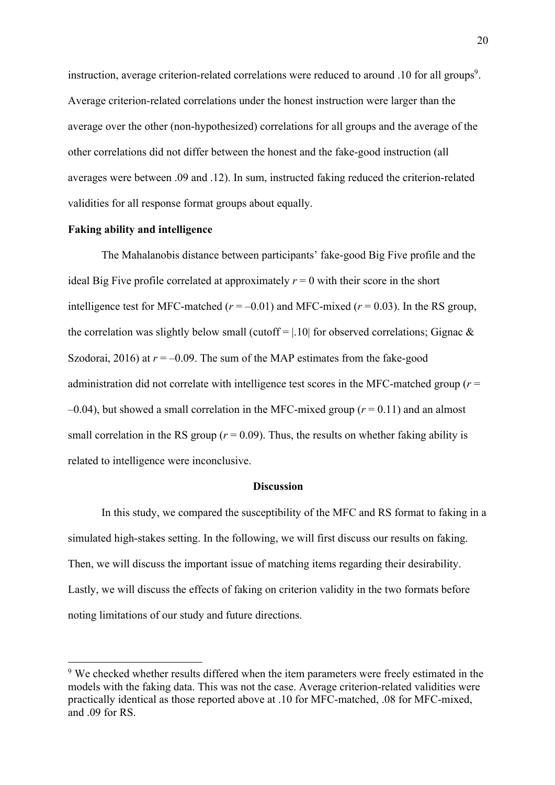instruction, average criterion-related correlations were reduced to around .10 for all groups<sup>9</sup>. Average criterion-related correlations under the honest instruction were larger than the average over the other (non-hypothesized) correlations for all groups and the average of the other correlations did not differ between the honest and the fake-good instruction (all averages were between .09 and .12). In sum, instructed faking reduced the criterion-related validities for all response format groups about equally.

#### **Faking ability and intelligence**

The Mahalanobis distance between participants' fake-good Big Five profile and the ideal Big Five profile correlated at approximately  $r = 0$  with their score in the short intelligence test for MFC-matched ( $r = -0.01$ ) and MFC-mixed ( $r = 0.03$ ). In the RS group, the correlation was slightly below small (cutoff =  $|.10|$  for observed correlations; Gignac & Szodorai, 2016) at  $r = -0.09$ . The sum of the MAP estimates from the fake-good administration did not correlate with intelligence test scores in the MFC-matched group  $(r =$  $-0.04$ ), but showed a small correlation in the MFC-mixed group ( $r = 0.11$ ) and an almost small correlation in the RS group  $(r = 0.09)$ . Thus, the results on whether faking ability is related to intelligence were inconclusive.

#### **Discussion**

In this study, we compared the susceptibility of the MFC and RS format to faking in a simulated high-stakes setting. In the following, we will first discuss our results on faking. Then, we will discuss the important issue of matching items regarding their desirability. Lastly, we will discuss the effects of faking on criterion validity in the two formats before noting limitations of our study and future directions.

<sup>&</sup>lt;sup>9</sup> We checked whether results differed when the item parameters were freely estimated in the models with the faking data. This was not the case. Average criterion-related validities were practically identical as those reported above at .10 for MFC-matched, .08 for MFC-mixed, and .09 for RS.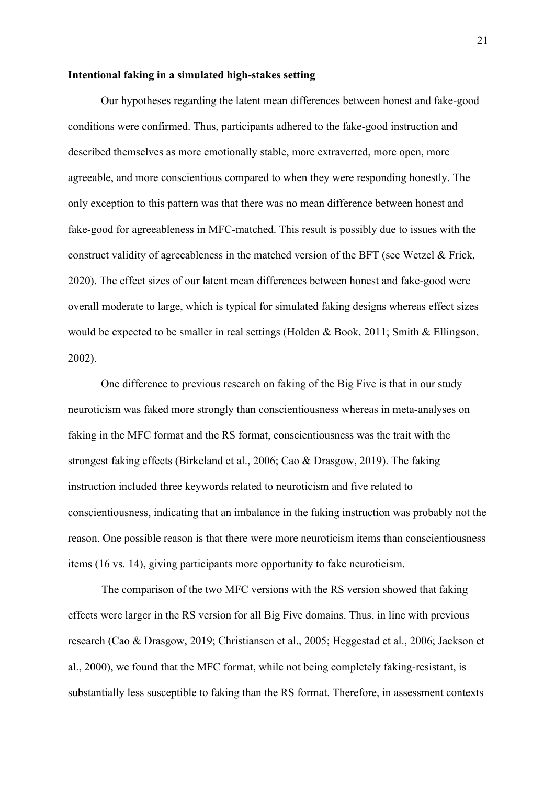#### **Intentional faking in a simulated high-stakes setting**

Our hypotheses regarding the latent mean differences between honest and fake-good conditions were confirmed. Thus, participants adhered to the fake-good instruction and described themselves as more emotionally stable, more extraverted, more open, more agreeable, and more conscientious compared to when they were responding honestly. The only exception to this pattern was that there was no mean difference between honest and fake-good for agreeableness in MFC-matched. This result is possibly due to issues with the construct validity of agreeableness in the matched version of the BFT (see Wetzel & Frick, 2020). The effect sizes of our latent mean differences between honest and fake-good were overall moderate to large, which is typical for simulated faking designs whereas effect sizes would be expected to be smaller in real settings (Holden & Book, 2011; Smith & Ellingson, 2002).

One difference to previous research on faking of the Big Five is that in our study neuroticism was faked more strongly than conscientiousness whereas in meta-analyses on faking in the MFC format and the RS format, conscientiousness was the trait with the strongest faking effects (Birkeland et al., 2006; Cao & Drasgow, 2019). The faking instruction included three keywords related to neuroticism and five related to conscientiousness, indicating that an imbalance in the faking instruction was probably not the reason. One possible reason is that there were more neuroticism items than conscientiousness items (16 vs. 14), giving participants more opportunity to fake neuroticism.

The comparison of the two MFC versions with the RS version showed that faking effects were larger in the RS version for all Big Five domains. Thus, in line with previous research (Cao & Drasgow, 2019; Christiansen et al., 2005; Heggestad et al., 2006; Jackson et al., 2000), we found that the MFC format, while not being completely faking-resistant, is substantially less susceptible to faking than the RS format. Therefore, in assessment contexts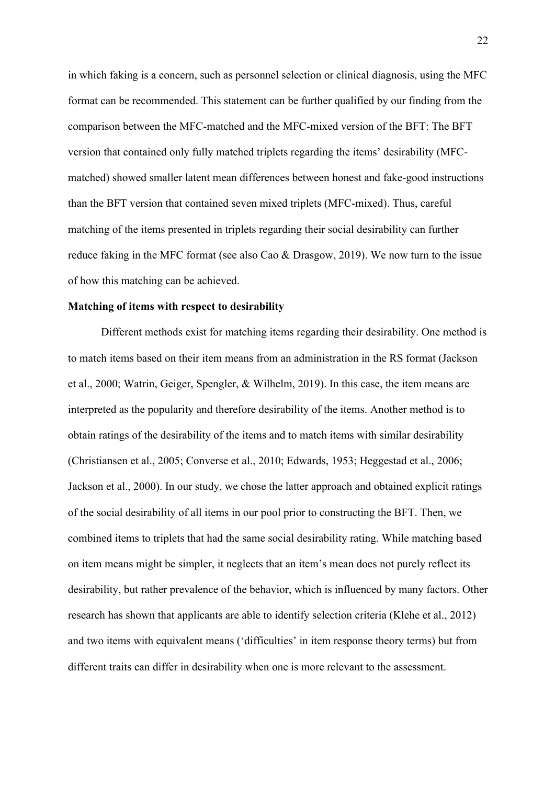in which faking is a concern, such as personnel selection or clinical diagnosis, using the MFC format can be recommended. This statement can be further qualified by our finding from the comparison between the MFC-matched and the MFC-mixed version of the BFT: The BFT version that contained only fully matched triplets regarding the items' desirability (MFCmatched) showed smaller latent mean differences between honest and fake-good instructions than the BFT version that contained seven mixed triplets (MFC-mixed). Thus, careful matching of the items presented in triplets regarding their social desirability can further reduce faking in the MFC format (see also Cao & Drasgow, 2019). We now turn to the issue of how this matching can be achieved.

#### **Matching of items with respect to desirability**

Different methods exist for matching items regarding their desirability. One method is to match items based on their item means from an administration in the RS format (Jackson et al., 2000; Watrin, Geiger, Spengler, & Wilhelm, 2019). In this case, the item means are interpreted as the popularity and therefore desirability of the items. Another method is to obtain ratings of the desirability of the items and to match items with similar desirability (Christiansen et al., 2005; Converse et al., 2010; Edwards, 1953; Heggestad et al., 2006; Jackson et al., 2000). In our study, we chose the latter approach and obtained explicit ratings of the social desirability of all items in our pool prior to constructing the BFT. Then, we combined items to triplets that had the same social desirability rating. While matching based on item means might be simpler, it neglects that an item's mean does not purely reflect its desirability, but rather prevalence of the behavior, which is influenced by many factors. Other research has shown that applicants are able to identify selection criteria (Klehe et al., 2012) and two items with equivalent means ('difficulties' in item response theory terms) but from different traits can differ in desirability when one is more relevant to the assessment.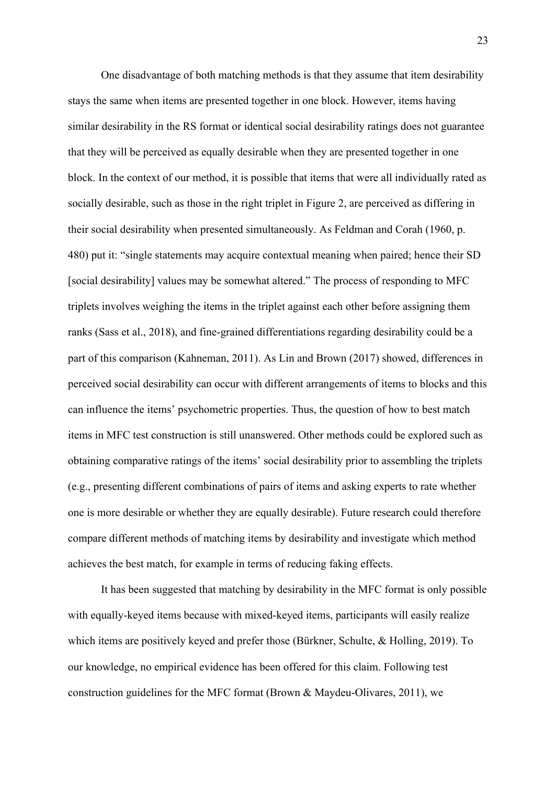One disadvantage of both matching methods is that they assume that item desirability stays the same when items are presented together in one block. However, items having similar desirability in the RS format or identical social desirability ratings does not guarantee that they will be perceived as equally desirable when they are presented together in one block. In the context of our method, it is possible that items that were all individually rated as socially desirable, such as those in the right triplet in Figure 2, are perceived as differing in their social desirability when presented simultaneously. As Feldman and Corah (1960, p. 480) put it: "single statements may acquire contextual meaning when paired; hence their SD [social desirability] values may be somewhat altered." The process of responding to MFC triplets involves weighing the items in the triplet against each other before assigning them ranks (Sass et al., 2018), and fine-grained differentiations regarding desirability could be a part of this comparison (Kahneman, 2011). As Lin and Brown (2017) showed, differences in perceived social desirability can occur with different arrangements of items to blocks and this can influence the items' psychometric properties. Thus, the question of how to best match items in MFC test construction is still unanswered. Other methods could be explored such as obtaining comparative ratings of the items' social desirability prior to assembling the triplets (e.g., presenting different combinations of pairs of items and asking experts to rate whether one is more desirable or whether they are equally desirable). Future research could therefore compare different methods of matching items by desirability and investigate which method achieves the best match, for example in terms of reducing faking effects.

It has been suggested that matching by desirability in the MFC format is only possible with equally-keyed items because with mixed-keyed items, participants will easily realize which items are positively keyed and prefer those (Bürkner, Schulte, & Holling, 2019). To our knowledge, no empirical evidence has been offered for this claim. Following test construction guidelines for the MFC format (Brown & Maydeu-Olivares, 2011), we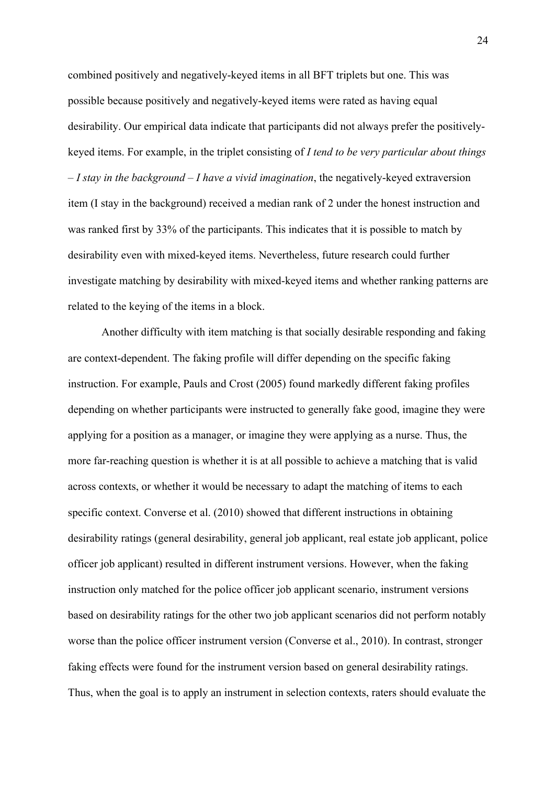combined positively and negatively-keyed items in all BFT triplets but one. This was possible because positively and negatively-keyed items were rated as having equal desirability. Our empirical data indicate that participants did not always prefer the positivelykeyed items. For example, in the triplet consisting of *I tend to be very particular about things – I stay in the background – I have a vivid imagination*, the negatively-keyed extraversion item (I stay in the background) received a median rank of 2 under the honest instruction and was ranked first by 33% of the participants. This indicates that it is possible to match by desirability even with mixed-keyed items. Nevertheless, future research could further investigate matching by desirability with mixed-keyed items and whether ranking patterns are related to the keying of the items in a block.

Another difficulty with item matching is that socially desirable responding and faking are context-dependent. The faking profile will differ depending on the specific faking instruction. For example, Pauls and Crost (2005) found markedly different faking profiles depending on whether participants were instructed to generally fake good, imagine they were applying for a position as a manager, or imagine they were applying as a nurse. Thus, the more far-reaching question is whether it is at all possible to achieve a matching that is valid across contexts, or whether it would be necessary to adapt the matching of items to each specific context. Converse et al. (2010) showed that different instructions in obtaining desirability ratings (general desirability, general job applicant, real estate job applicant, police officer job applicant) resulted in different instrument versions. However, when the faking instruction only matched for the police officer job applicant scenario, instrument versions based on desirability ratings for the other two job applicant scenarios did not perform notably worse than the police officer instrument version (Converse et al., 2010). In contrast, stronger faking effects were found for the instrument version based on general desirability ratings. Thus, when the goal is to apply an instrument in selection contexts, raters should evaluate the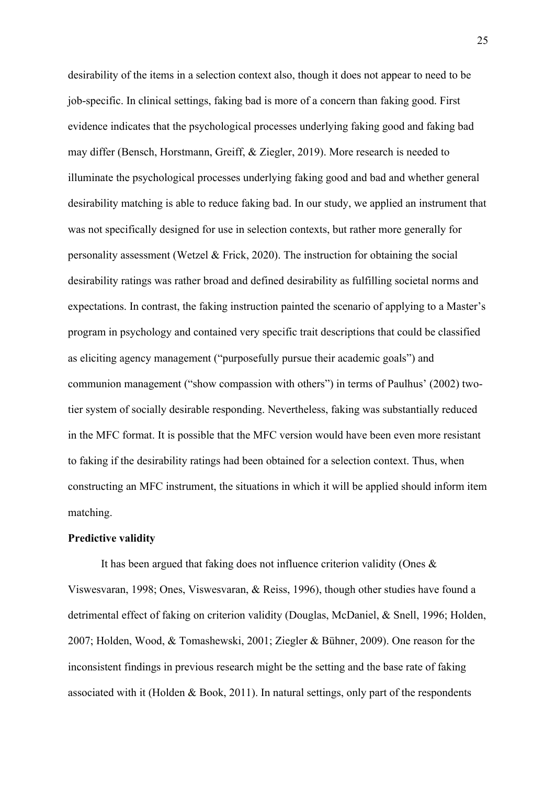desirability of the items in a selection context also, though it does not appear to need to be job-specific. In clinical settings, faking bad is more of a concern than faking good. First evidence indicates that the psychological processes underlying faking good and faking bad may differ (Bensch, Horstmann, Greiff, & Ziegler, 2019). More research is needed to illuminate the psychological processes underlying faking good and bad and whether general desirability matching is able to reduce faking bad. In our study, we applied an instrument that was not specifically designed for use in selection contexts, but rather more generally for personality assessment (Wetzel & Frick, 2020). The instruction for obtaining the social desirability ratings was rather broad and defined desirability as fulfilling societal norms and expectations. In contrast, the faking instruction painted the scenario of applying to a Master's program in psychology and contained very specific trait descriptions that could be classified as eliciting agency management ("purposefully pursue their academic goals") and communion management ("show compassion with others") in terms of Paulhus' (2002) twotier system of socially desirable responding. Nevertheless, faking was substantially reduced in the MFC format. It is possible that the MFC version would have been even more resistant to faking if the desirability ratings had been obtained for a selection context. Thus, when constructing an MFC instrument, the situations in which it will be applied should inform item matching.

#### **Predictive validity**

It has been argued that faking does not influence criterion validity (Ones & Viswesvaran, 1998; Ones, Viswesvaran, & Reiss, 1996), though other studies have found a detrimental effect of faking on criterion validity (Douglas, McDaniel, & Snell, 1996; Holden, 2007; Holden, Wood, & Tomashewski, 2001; Ziegler & Bühner, 2009). One reason for the inconsistent findings in previous research might be the setting and the base rate of faking associated with it (Holden & Book, 2011). In natural settings, only part of the respondents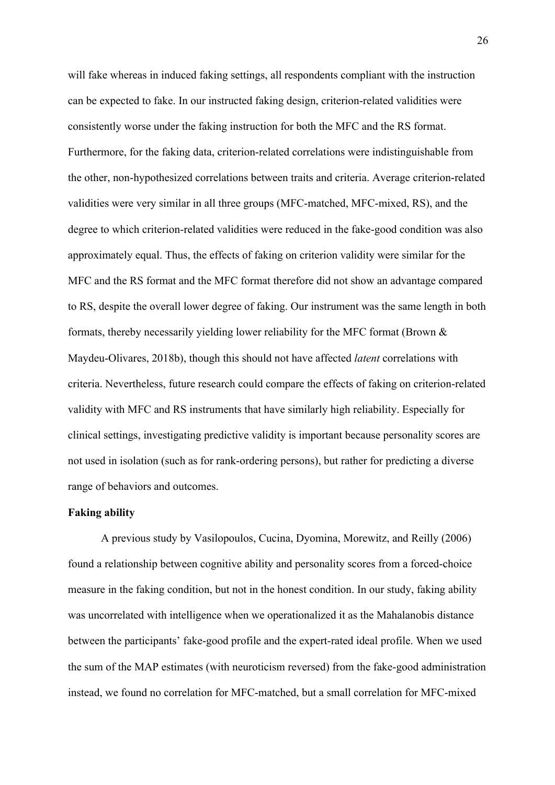will fake whereas in induced faking settings, all respondents compliant with the instruction can be expected to fake. In our instructed faking design, criterion-related validities were consistently worse under the faking instruction for both the MFC and the RS format. Furthermore, for the faking data, criterion-related correlations were indistinguishable from the other, non-hypothesized correlations between traits and criteria. Average criterion-related validities were very similar in all three groups (MFC-matched, MFC-mixed, RS), and the degree to which criterion-related validities were reduced in the fake-good condition was also approximately equal. Thus, the effects of faking on criterion validity were similar for the MFC and the RS format and the MFC format therefore did not show an advantage compared to RS, despite the overall lower degree of faking. Our instrument was the same length in both formats, thereby necessarily yielding lower reliability for the MFC format (Brown & Maydeu-Olivares, 2018b), though this should not have affected *latent* correlations with criteria. Nevertheless, future research could compare the effects of faking on criterion-related validity with MFC and RS instruments that have similarly high reliability. Especially for clinical settings, investigating predictive validity is important because personality scores are not used in isolation (such as for rank-ordering persons), but rather for predicting a diverse range of behaviors and outcomes.

#### **Faking ability**

A previous study by Vasilopoulos, Cucina, Dyomina, Morewitz, and Reilly (2006) found a relationship between cognitive ability and personality scores from a forced-choice measure in the faking condition, but not in the honest condition. In our study, faking ability was uncorrelated with intelligence when we operationalized it as the Mahalanobis distance between the participants' fake-good profile and the expert-rated ideal profile. When we used the sum of the MAP estimates (with neuroticism reversed) from the fake-good administration instead, we found no correlation for MFC-matched, but a small correlation for MFC-mixed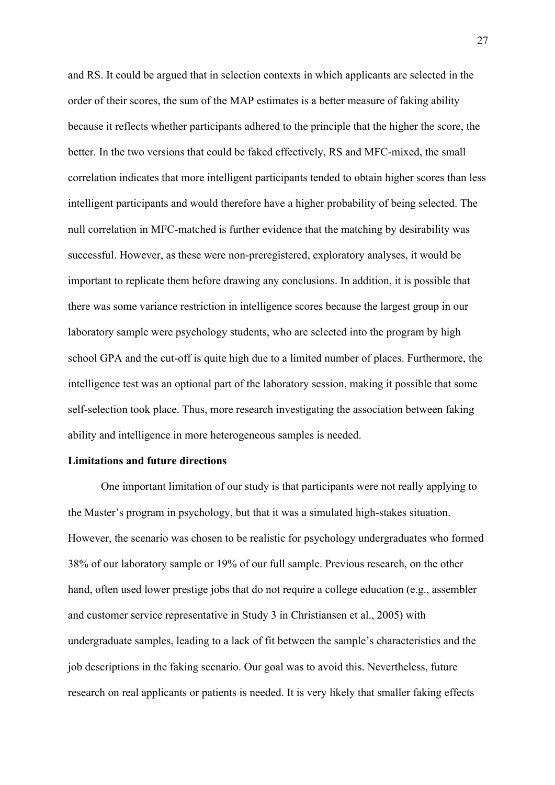and RS. It could be argued that in selection contexts in which applicants are selected in the order of their scores, the sum of the MAP estimates is a better measure of faking ability because it reflects whether participants adhered to the principle that the higher the score, the better. In the two versions that could be faked effectively, RS and MFC-mixed, the small correlation indicates that more intelligent participants tended to obtain higher scores than less intelligent participants and would therefore have a higher probability of being selected. The null correlation in MFC-matched is further evidence that the matching by desirability was successful. However, as these were non-preregistered, exploratory analyses, it would be important to replicate them before drawing any conclusions. In addition, it is possible that there was some variance restriction in intelligence scores because the largest group in our laboratory sample were psychology students, who are selected into the program by high school GPA and the cut-off is quite high due to a limited number of places. Furthermore, the intelligence test was an optional part of the laboratory session, making it possible that some self-selection took place. Thus, more research investigating the association between faking ability and intelligence in more heterogeneous samples is needed.

#### **Limitations and future directions**

One important limitation of our study is that participants were not really applying to the Master's program in psychology, but that it was a simulated high-stakes situation. However, the scenario was chosen to be realistic for psychology undergraduates who formed 38% of our laboratory sample or 19% of our full sample. Previous research, on the other hand, often used lower prestige jobs that do not require a college education (e.g., assembler and customer service representative in Study 3 in Christiansen et al., 2005) with undergraduate samples, leading to a lack of fit between the sample's characteristics and the job descriptions in the faking scenario. Our goal was to avoid this. Nevertheless, future research on real applicants or patients is needed. It is very likely that smaller faking effects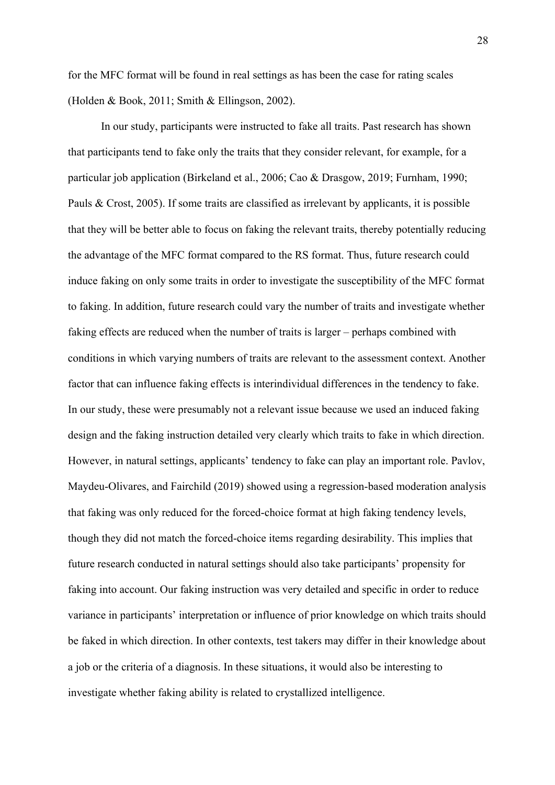for the MFC format will be found in real settings as has been the case for rating scales (Holden & Book, 2011; Smith & Ellingson, 2002).

In our study, participants were instructed to fake all traits. Past research has shown that participants tend to fake only the traits that they consider relevant, for example, for a particular job application (Birkeland et al., 2006; Cao & Drasgow, 2019; Furnham, 1990; Pauls & Crost, 2005). If some traits are classified as irrelevant by applicants, it is possible that they will be better able to focus on faking the relevant traits, thereby potentially reducing the advantage of the MFC format compared to the RS format. Thus, future research could induce faking on only some traits in order to investigate the susceptibility of the MFC format to faking. In addition, future research could vary the number of traits and investigate whether faking effects are reduced when the number of traits is larger – perhaps combined with conditions in which varying numbers of traits are relevant to the assessment context. Another factor that can influence faking effects is interindividual differences in the tendency to fake. In our study, these were presumably not a relevant issue because we used an induced faking design and the faking instruction detailed very clearly which traits to fake in which direction. However, in natural settings, applicants' tendency to fake can play an important role. Pavlov, Maydeu-Olivares, and Fairchild (2019) showed using a regression-based moderation analysis that faking was only reduced for the forced-choice format at high faking tendency levels, though they did not match the forced-choice items regarding desirability. This implies that future research conducted in natural settings should also take participants' propensity for faking into account. Our faking instruction was very detailed and specific in order to reduce variance in participants' interpretation or influence of prior knowledge on which traits should be faked in which direction. In other contexts, test takers may differ in their knowledge about a job or the criteria of a diagnosis. In these situations, it would also be interesting to investigate whether faking ability is related to crystallized intelligence.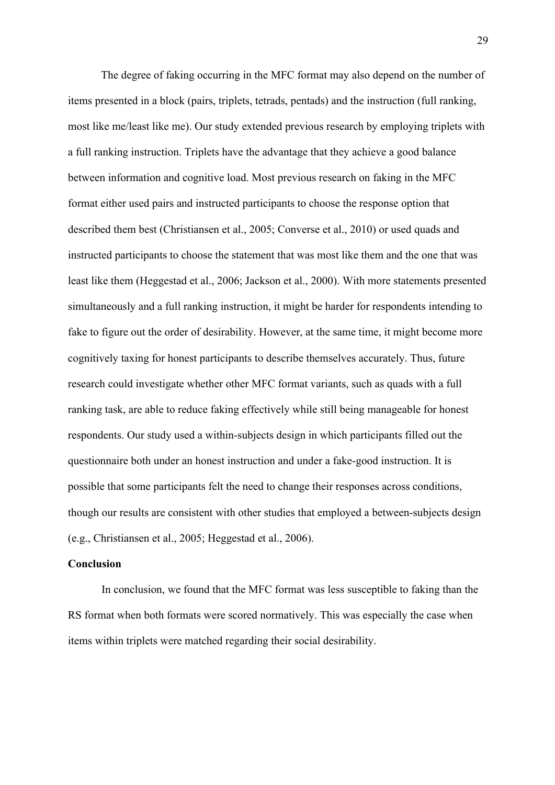The degree of faking occurring in the MFC format may also depend on the number of items presented in a block (pairs, triplets, tetrads, pentads) and the instruction (full ranking, most like me/least like me). Our study extended previous research by employing triplets with a full ranking instruction. Triplets have the advantage that they achieve a good balance between information and cognitive load. Most previous research on faking in the MFC format either used pairs and instructed participants to choose the response option that described them best (Christiansen et al., 2005; Converse et al., 2010) or used quads and instructed participants to choose the statement that was most like them and the one that was least like them (Heggestad et al., 2006; Jackson et al., 2000). With more statements presented simultaneously and a full ranking instruction, it might be harder for respondents intending to fake to figure out the order of desirability. However, at the same time, it might become more cognitively taxing for honest participants to describe themselves accurately. Thus, future research could investigate whether other MFC format variants, such as quads with a full ranking task, are able to reduce faking effectively while still being manageable for honest respondents. Our study used a within-subjects design in which participants filled out the questionnaire both under an honest instruction and under a fake-good instruction. It is possible that some participants felt the need to change their responses across conditions, though our results are consistent with other studies that employed a between-subjects design (e.g., Christiansen et al., 2005; Heggestad et al., 2006).

#### **Conclusion**

In conclusion, we found that the MFC format was less susceptible to faking than the RS format when both formats were scored normatively. This was especially the case when items within triplets were matched regarding their social desirability.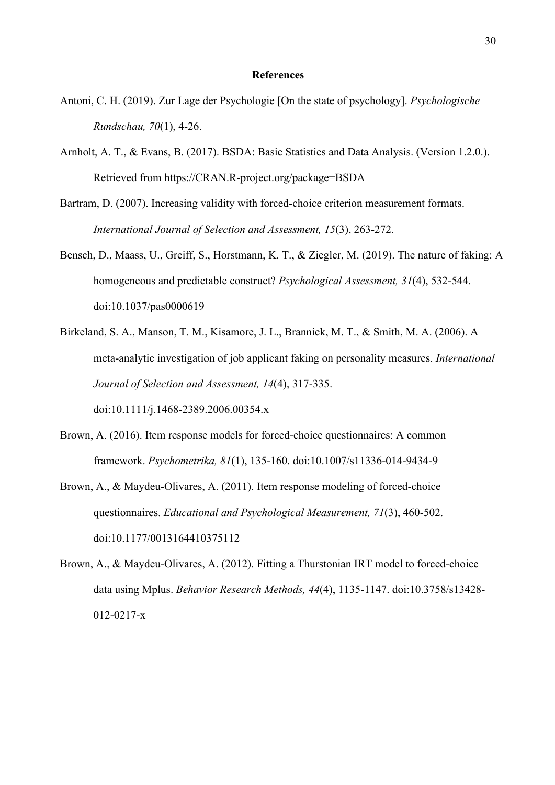#### **References**

- Antoni, C. H. (2019). Zur Lage der Psychologie [On the state of psychology]. *Psychologische Rundschau, 70*(1), 4-26.
- Arnholt, A. T., & Evans, B. (2017). BSDA: Basic Statistics and Data Analysis. (Version 1.2.0.). Retrieved from https://CRAN.R-project.org/package=BSDA
- Bartram, D. (2007). Increasing validity with forced-choice criterion measurement formats. *International Journal of Selection and Assessment, 15*(3), 263-272.
- Bensch, D., Maass, U., Greiff, S., Horstmann, K. T., & Ziegler, M. (2019). The nature of faking: A homogeneous and predictable construct? *Psychological Assessment, 31*(4), 532-544. doi:10.1037/pas0000619
- Birkeland, S. A., Manson, T. M., Kisamore, J. L., Brannick, M. T., & Smith, M. A. (2006). A meta-analytic investigation of job applicant faking on personality measures. *International Journal of Selection and Assessment, 14*(4), 317-335. doi:10.1111/j.1468-2389.2006.00354.x
- Brown, A. (2016). Item response models for forced-choice questionnaires: A common framework. *Psychometrika, 81*(1), 135-160. doi:10.1007/s11336-014-9434-9
- Brown, A., & Maydeu-Olivares, A. (2011). Item response modeling of forced-choice questionnaires. *Educational and Psychological Measurement, 71*(3), 460-502. doi:10.1177/0013164410375112
- Brown, A., & Maydeu-Olivares, A. (2012). Fitting a Thurstonian IRT model to forced-choice data using Mplus. *Behavior Research Methods, 44*(4), 1135-1147. doi:10.3758/s13428- 012-0217-x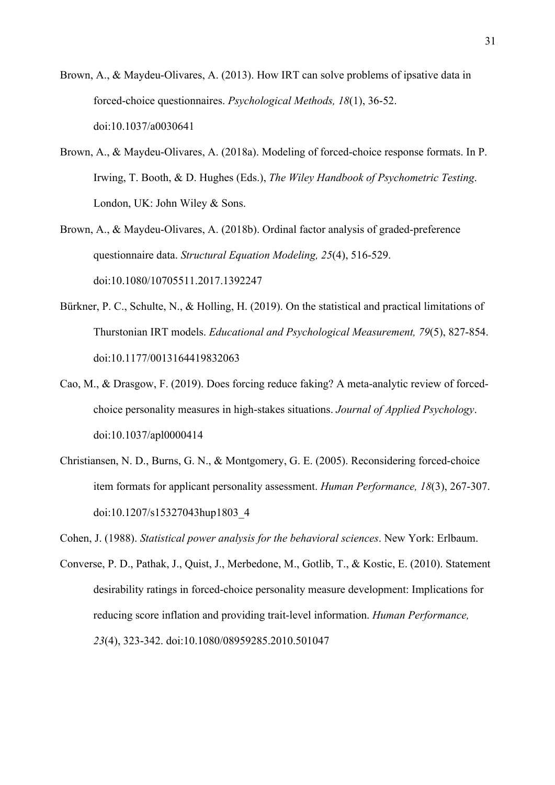- Brown, A., & Maydeu-Olivares, A. (2013). How IRT can solve problems of ipsative data in forced-choice questionnaires. *Psychological Methods, 18*(1), 36-52. doi:10.1037/a0030641
- Brown, A., & Maydeu-Olivares, A. (2018a). Modeling of forced-choice response formats. In P. Irwing, T. Booth, & D. Hughes (Eds.), *The Wiley Handbook of Psychometric Testing*. London, UK: John Wiley & Sons.
- Brown, A., & Maydeu-Olivares, A. (2018b). Ordinal factor analysis of graded-preference questionnaire data. *Structural Equation Modeling, 25*(4), 516-529. doi:10.1080/10705511.2017.1392247
- Bürkner, P. C., Schulte, N., & Holling, H. (2019). On the statistical and practical limitations of Thurstonian IRT models. *Educational and Psychological Measurement, 79*(5), 827-854. doi:10.1177/0013164419832063
- Cao, M., & Drasgow, F. (2019). Does forcing reduce faking? A meta-analytic review of forcedchoice personality measures in high-stakes situations. *Journal of Applied Psychology*. doi:10.1037/apl0000414
- Christiansen, N. D., Burns, G. N., & Montgomery, G. E. (2005). Reconsidering forced-choice item formats for applicant personality assessment. *Human Performance, 18*(3), 267-307. doi:10.1207/s15327043hup1803\_4

Cohen, J. (1988). *Statistical power analysis for the behavioral sciences*. New York: Erlbaum.

Converse, P. D., Pathak, J., Quist, J., Merbedone, M., Gotlib, T., & Kostic, E. (2010). Statement desirability ratings in forced-choice personality measure development: Implications for reducing score inflation and providing trait-level information. *Human Performance, 23*(4), 323-342. doi:10.1080/08959285.2010.501047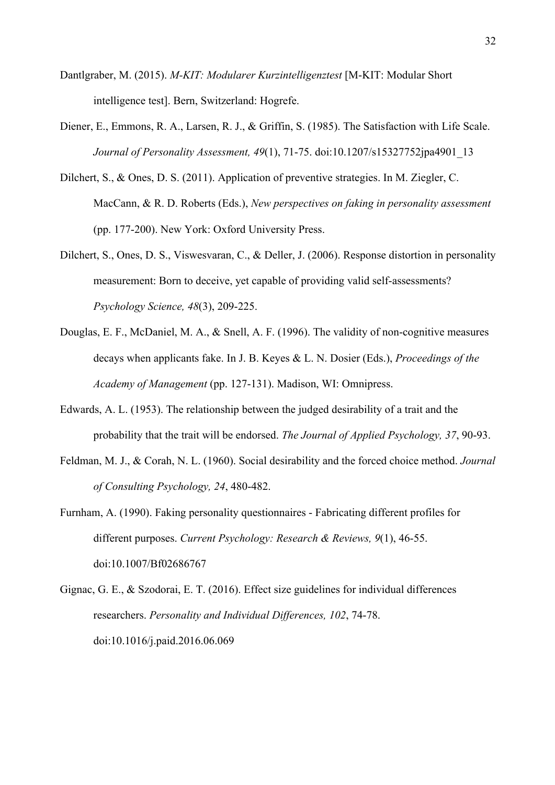- Dantlgraber, M. (2015). *M-KIT: Modularer Kurzintelligenztest* [M-KIT: Modular Short intelligence test]. Bern, Switzerland: Hogrefe.
- Diener, E., Emmons, R. A., Larsen, R. J., & Griffin, S. (1985). The Satisfaction with Life Scale. *Journal of Personality Assessment, 49*(1), 71-75. doi:10.1207/s15327752jpa4901\_13
- Dilchert, S., & Ones, D. S. (2011). Application of preventive strategies. In M. Ziegler, C. MacCann, & R. D. Roberts (Eds.), *New perspectives on faking in personality assessment* (pp. 177-200). New York: Oxford University Press.
- Dilchert, S., Ones, D. S., Viswesvaran, C., & Deller, J. (2006). Response distortion in personality measurement: Born to deceive, yet capable of providing valid self-assessments? *Psychology Science, 48*(3), 209-225.
- Douglas, E. F., McDaniel, M. A., & Snell, A. F. (1996). The validity of non-cognitive measures decays when applicants fake. In J. B. Keyes & L. N. Dosier (Eds.), *Proceedings of the Academy of Management* (pp. 127-131). Madison, WI: Omnipress.
- Edwards, A. L. (1953). The relationship between the judged desirability of a trait and the probability that the trait will be endorsed. *The Journal of Applied Psychology, 37*, 90-93.
- Feldman, M. J., & Corah, N. L. (1960). Social desirability and the forced choice method. *Journal of Consulting Psychology, 24*, 480-482.
- Furnham, A. (1990). Faking personality questionnaires Fabricating different profiles for different purposes. *Current Psychology: Research & Reviews, 9*(1), 46-55. doi:10.1007/Bf02686767
- Gignac, G. E., & Szodorai, E. T. (2016). Effect size guidelines for individual differences researchers. *Personality and Individual Differences, 102*, 74-78. doi:10.1016/j.paid.2016.06.069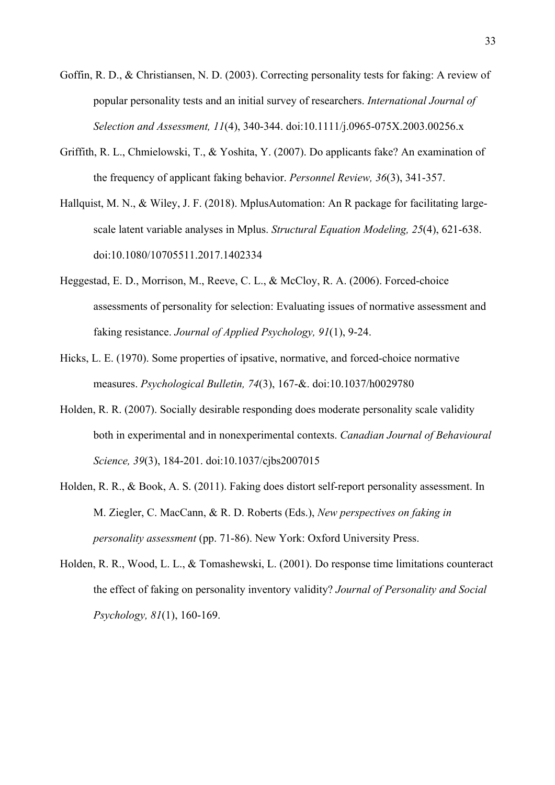- Goffin, R. D., & Christiansen, N. D. (2003). Correcting personality tests for faking: A review of popular personality tests and an initial survey of researchers. *International Journal of Selection and Assessment, 11*(4), 340-344. doi:10.1111/j.0965-075X.2003.00256.x
- Griffith, R. L., Chmielowski, T., & Yoshita, Y. (2007). Do applicants fake? An examination of the frequency of applicant faking behavior. *Personnel Review, 36*(3), 341-357.
- Hallquist, M. N., & Wiley, J. F. (2018). MplusAutomation: An R package for facilitating largescale latent variable analyses in Mplus. *Structural Equation Modeling, 25*(4), 621-638. doi:10.1080/10705511.2017.1402334
- Heggestad, E. D., Morrison, M., Reeve, C. L., & McCloy, R. A. (2006). Forced-choice assessments of personality for selection: Evaluating issues of normative assessment and faking resistance. *Journal of Applied Psychology, 91*(1), 9-24.
- Hicks, L. E. (1970). Some properties of ipsative, normative, and forced-choice normative measures. *Psychological Bulletin, 74*(3), 167-&. doi:10.1037/h0029780
- Holden, R. R. (2007). Socially desirable responding does moderate personality scale validity both in experimental and in nonexperimental contexts. *Canadian Journal of Behavioural Science, 39*(3), 184-201. doi:10.1037/cjbs2007015
- Holden, R. R., & Book, A. S. (2011). Faking does distort self-report personality assessment. In M. Ziegler, C. MacCann, & R. D. Roberts (Eds.), *New perspectives on faking in personality assessment* (pp. 71-86). New York: Oxford University Press.
- Holden, R. R., Wood, L. L., & Tomashewski, L. (2001). Do response time limitations counteract the effect of faking on personality inventory validity? *Journal of Personality and Social Psychology, 81*(1), 160-169.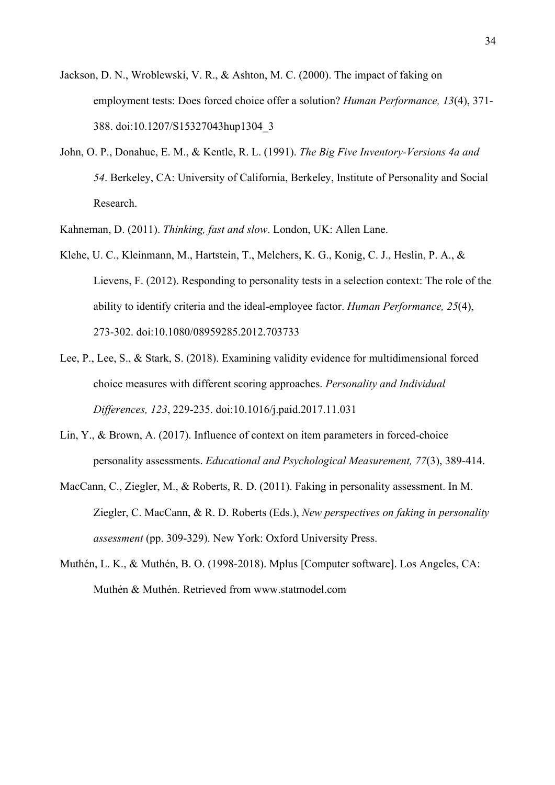- Jackson, D. N., Wroblewski, V. R., & Ashton, M. C. (2000). The impact of faking on employment tests: Does forced choice offer a solution? *Human Performance, 13*(4), 371- 388. doi:10.1207/S15327043hup1304\_3
- John, O. P., Donahue, E. M., & Kentle, R. L. (1991). *The Big Five Inventory-Versions 4a and 54*. Berkeley, CA: University of California, Berkeley, Institute of Personality and Social Research.
- Kahneman, D. (2011). *Thinking, fast and slow*. London, UK: Allen Lane.
- Klehe, U. C., Kleinmann, M., Hartstein, T., Melchers, K. G., Konig, C. J., Heslin, P. A., & Lievens, F. (2012). Responding to personality tests in a selection context: The role of the ability to identify criteria and the ideal-employee factor. *Human Performance, 25*(4), 273-302. doi:10.1080/08959285.2012.703733
- Lee, P., Lee, S., & Stark, S. (2018). Examining validity evidence for multidimensional forced choice measures with different scoring approaches. *Personality and Individual Differences, 123*, 229-235. doi:10.1016/j.paid.2017.11.031
- Lin, Y., & Brown, A. (2017). Influence of context on item parameters in forced-choice personality assessments. *Educational and Psychological Measurement, 77*(3), 389-414.
- MacCann, C., Ziegler, M., & Roberts, R. D. (2011). Faking in personality assessment. In M. Ziegler, C. MacCann, & R. D. Roberts (Eds.), *New perspectives on faking in personality assessment* (pp. 309-329). New York: Oxford University Press.
- Muthén, L. K., & Muthén, B. O. (1998-2018). Mplus [Computer software]. Los Angeles, CA: Muthén & Muthén. Retrieved from www.statmodel.com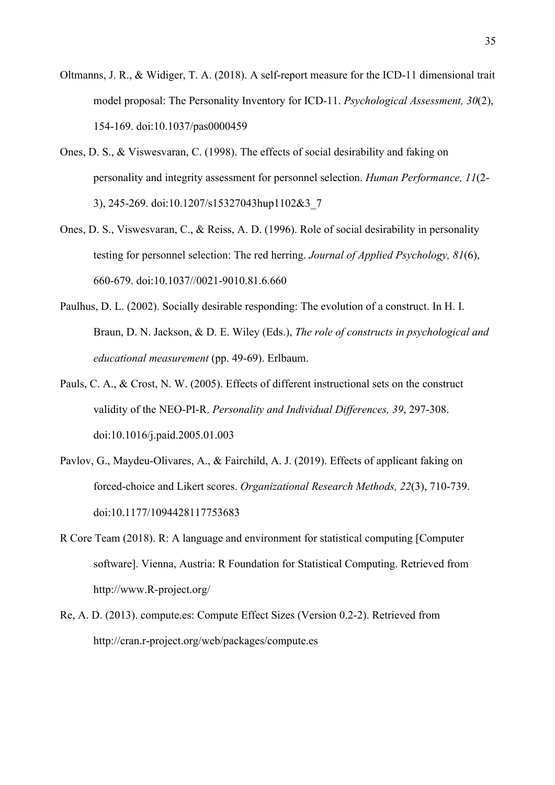- Oltmanns, J. R., & Widiger, T. A. (2018). A self-report measure for the ICD-11 dimensional trait model proposal: The Personality Inventory for ICD-11. *Psychological Assessment, 30*(2), 154-169. doi:10.1037/pas0000459
- Ones, D. S., & Viswesvaran, C. (1998). The effects of social desirability and faking on personality and integrity assessment for personnel selection. *Human Performance, 11*(2- 3), 245-269. doi:10.1207/s15327043hup1102&3\_7
- Ones, D. S., Viswesvaran, C., & Reiss, A. D. (1996). Role of social desirability in personality testing for personnel selection: The red herring. *Journal of Applied Psychology, 81*(6), 660-679. doi:10.1037//0021-9010.81.6.660
- Paulhus, D. L. (2002). Socially desirable responding: The evolution of a construct. In H. I. Braun, D. N. Jackson, & D. E. Wiley (Eds.), *The role of constructs in psychological and educational measurement* (pp. 49-69). Erlbaum.
- Pauls, C. A., & Crost, N. W. (2005). Effects of different instructional sets on the construct validity of the NEO-PI-R. *Personality and Individual Differences, 39*, 297-308. doi:10.1016/j.paid.2005.01.003
- Pavlov, G., Maydeu-Olivares, A., & Fairchild, A. J. (2019). Effects of applicant faking on forced-choice and Likert scores. *Organizational Research Methods, 22*(3), 710-739. doi:10.1177/1094428117753683
- R Core Team (2018). R: A language and environment for statistical computing [Computer software]. Vienna, Austria: R Foundation for Statistical Computing. Retrieved from http://www.R-project.org/
- Re, A. D. (2013). compute.es: Compute Effect Sizes (Version 0.2-2). Retrieved from http://cran.r-project.org/web/packages/compute.es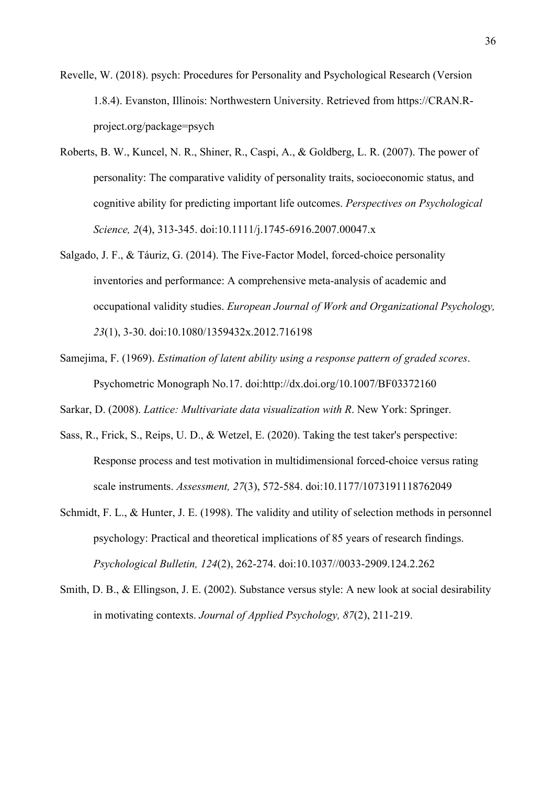- Revelle, W. (2018). psych: Procedures for Personality and Psychological Research (Version 1.8.4). Evanston, Illinois: Northwestern University. Retrieved from https://CRAN.Rproject.org/package=psych
- Roberts, B. W., Kuncel, N. R., Shiner, R., Caspi, A., & Goldberg, L. R. (2007). The power of personality: The comparative validity of personality traits, socioeconomic status, and cognitive ability for predicting important life outcomes. *Perspectives on Psychological Science, 2*(4), 313-345. doi:10.1111/j.1745-6916.2007.00047.x
- Salgado, J. F., & Táuriz, G. (2014). The Five-Factor Model, forced-choice personality inventories and performance: A comprehensive meta-analysis of academic and occupational validity studies. *European Journal of Work and Organizational Psychology, 23*(1), 3-30. doi:10.1080/1359432x.2012.716198
- Samejima, F. (1969). *Estimation of latent ability using a response pattern of graded scores*. Psychometric Monograph No.17. doi:http://dx.doi.org/10.1007/BF03372160

Sarkar, D. (2008). *Lattice: Multivariate data visualization with R*. New York: Springer.

- Sass, R., Frick, S., Reips, U. D., & Wetzel, E. (2020). Taking the test taker's perspective: Response process and test motivation in multidimensional forced-choice versus rating scale instruments. *Assessment, 27*(3), 572-584. doi:10.1177/1073191118762049
- Schmidt, F. L., & Hunter, J. E. (1998). The validity and utility of selection methods in personnel psychology: Practical and theoretical implications of 85 years of research findings. *Psychological Bulletin, 124*(2), 262-274. doi:10.1037//0033-2909.124.2.262
- Smith, D. B., & Ellingson, J. E. (2002). Substance versus style: A new look at social desirability in motivating contexts. *Journal of Applied Psychology, 87*(2), 211-219.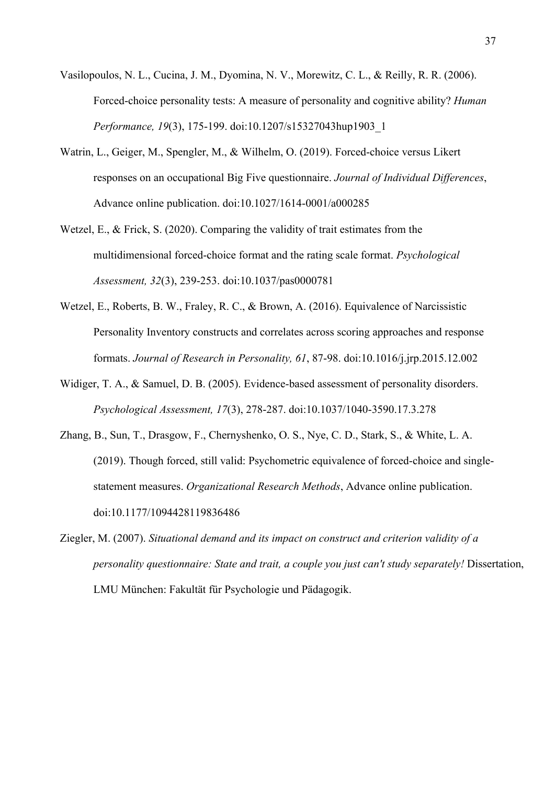- Vasilopoulos, N. L., Cucina, J. M., Dyomina, N. V., Morewitz, C. L., & Reilly, R. R. (2006). Forced-choice personality tests: A measure of personality and cognitive ability? *Human Performance, 19*(3), 175-199. doi:10.1207/s15327043hup1903\_1
- Watrin, L., Geiger, M., Spengler, M., & Wilhelm, O. (2019). Forced-choice versus Likert responses on an occupational Big Five questionnaire. *Journal of Individual Differences*, Advance online publication. doi:10.1027/1614-0001/a000285
- Wetzel, E., & Frick, S. (2020). Comparing the validity of trait estimates from the multidimensional forced-choice format and the rating scale format. *Psychological Assessment, 32*(3), 239-253. doi:10.1037/pas0000781
- Wetzel, E., Roberts, B. W., Fraley, R. C., & Brown, A. (2016). Equivalence of Narcissistic Personality Inventory constructs and correlates across scoring approaches and response formats. *Journal of Research in Personality, 61*, 87-98. doi:10.1016/j.jrp.2015.12.002
- Widiger, T. A., & Samuel, D. B. (2005). Evidence-based assessment of personality disorders. *Psychological Assessment, 17*(3), 278-287. doi:10.1037/1040-3590.17.3.278
- Zhang, B., Sun, T., Drasgow, F., Chernyshenko, O. S., Nye, C. D., Stark, S., & White, L. A. (2019). Though forced, still valid: Psychometric equivalence of forced-choice and singlestatement measures. *Organizational Research Methods*, Advance online publication. doi:10.1177/1094428119836486
- Ziegler, M. (2007). *Situational demand and its impact on construct and criterion validity of a personality questionnaire: State and trait, a couple you just can't study separately!* Dissertation, LMU München: Fakultät für Psychologie und Pädagogik.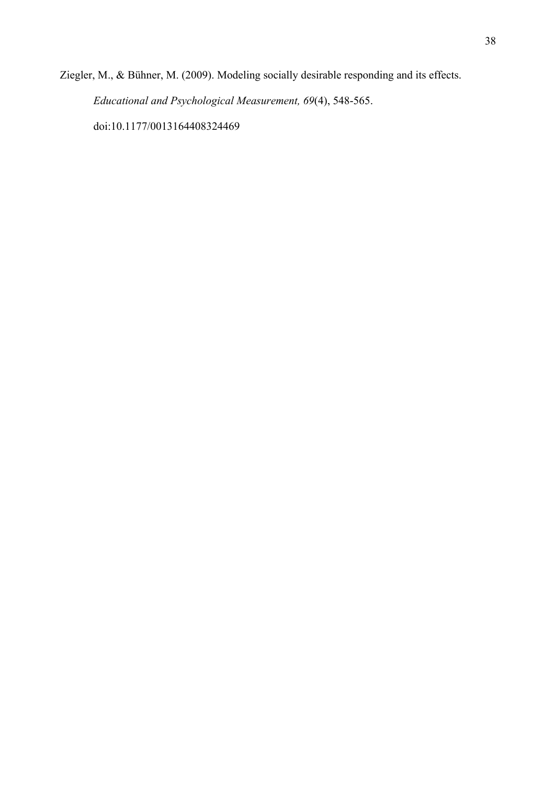Ziegler, M., & Bühner, M. (2009). Modeling socially desirable responding and its effects. *Educational and Psychological Measurement, 69*(4), 548-565. doi:10.1177/0013164408324469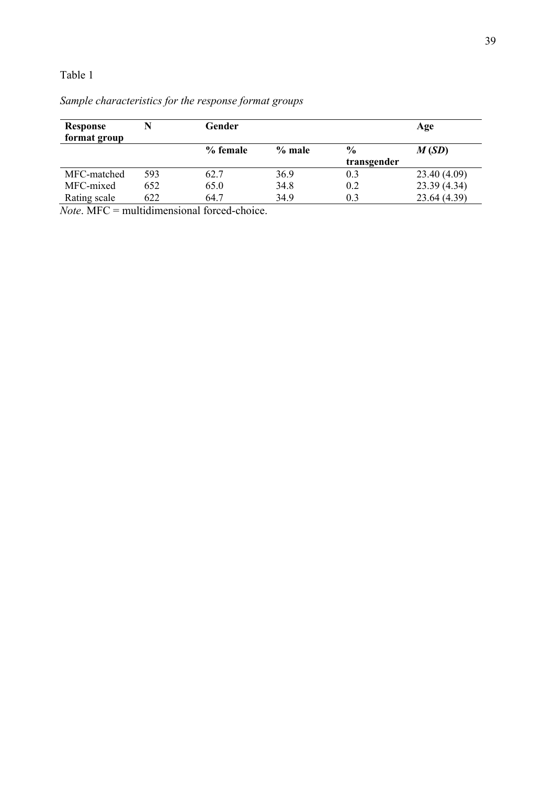#### Table 1

| <b>Response</b><br>format group |     | Gender   |          |               | Age          |
|---------------------------------|-----|----------|----------|---------------|--------------|
|                                 |     | % female | $%$ male | $\frac{6}{9}$ | M(SD)        |
|                                 |     |          |          | transgender   |              |
| MFC-matched                     | 593 | 62.7     | 36.9     | 0.3           | 23.40 (4.09) |
| MFC-mixed                       | 652 | 65.0     | 34.8     | 0.2           | 23.39(4.34)  |
| Rating scale                    | 622 | 64.7     | 34.9     | 0.3           | 23.64 (4.39) |

## *Sample characteristics for the response format groups*

*Note*. MFC = multidimensional forced-choice.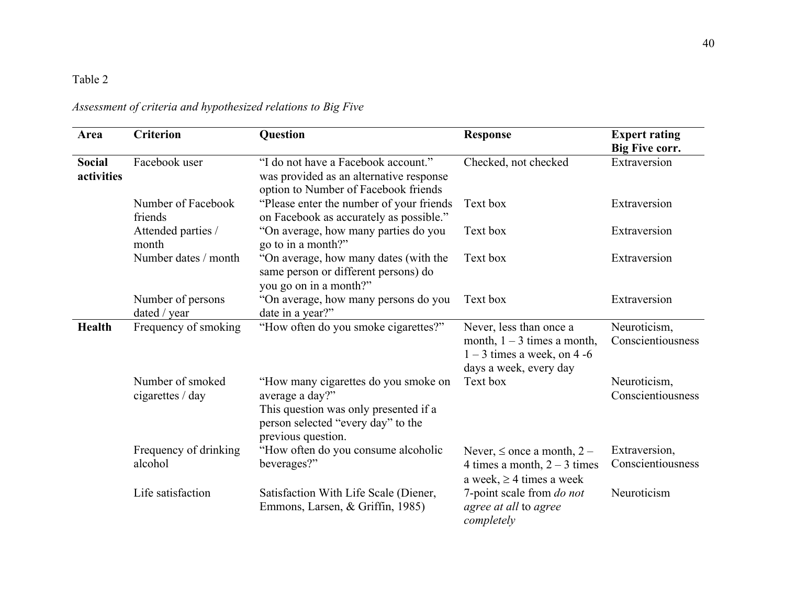## Table 2

| Area                        | <b>Criterion</b>                     | Question                                                                                                                                                     | <b>Response</b>                                                                                                     | <b>Expert rating</b><br><b>Big Five corr.</b> |
|-----------------------------|--------------------------------------|--------------------------------------------------------------------------------------------------------------------------------------------------------------|---------------------------------------------------------------------------------------------------------------------|-----------------------------------------------|
| <b>Social</b><br>activities | Facebook user                        | "I do not have a Facebook account."<br>was provided as an alternative response<br>option to Number of Facebook friends                                       | Checked, not checked                                                                                                | Extraversion                                  |
|                             | Number of Facebook<br>friends        | "Please enter the number of your friends"<br>on Facebook as accurately as possible."                                                                         | Text box                                                                                                            | Extraversion                                  |
|                             | Attended parties /<br>month          | "On average, how many parties do you<br>go to in a month?"                                                                                                   | Text box                                                                                                            | Extraversion                                  |
|                             | Number dates / month                 | "On average, how many dates (with the<br>same person or different persons) do<br>you go on in a month?"                                                      | Text box                                                                                                            | Extraversion                                  |
|                             | Number of persons<br>dated / year    | "On average, how many persons do you<br>date in a year?"                                                                                                     | Text box                                                                                                            | Extraversion                                  |
| Health                      | Frequency of smoking                 | "How often do you smoke cigarettes?"                                                                                                                         | Never, less than once a<br>month, $1 - 3$ times a month,<br>$1 - 3$ times a week, on 4 -6<br>days a week, every day | Neuroticism,<br>Conscientiousness             |
|                             | Number of smoked<br>cigarettes / day | "How many cigarettes do you smoke on<br>average a day?"<br>This question was only presented if a<br>person selected "every day" to the<br>previous question. | Text box                                                                                                            | Neuroticism,<br>Conscientiousness             |
|                             | Frequency of drinking<br>alcohol     | "How often do you consume alcoholic<br>beverages?"                                                                                                           | Never, $\leq$ once a month, 2 –<br>4 times a month, $2 - 3$ times<br>a week, $\geq$ 4 times a week                  | Extraversion,<br>Conscientiousness            |
|                             | Life satisfaction                    | Satisfaction With Life Scale (Diener,<br>Emmons, Larsen, & Griffin, 1985)                                                                                    | 7-point scale from do not<br>agree at all to agree<br>completely                                                    | Neuroticism                                   |

*Assessment of criteria and hypothesized relations to Big Five*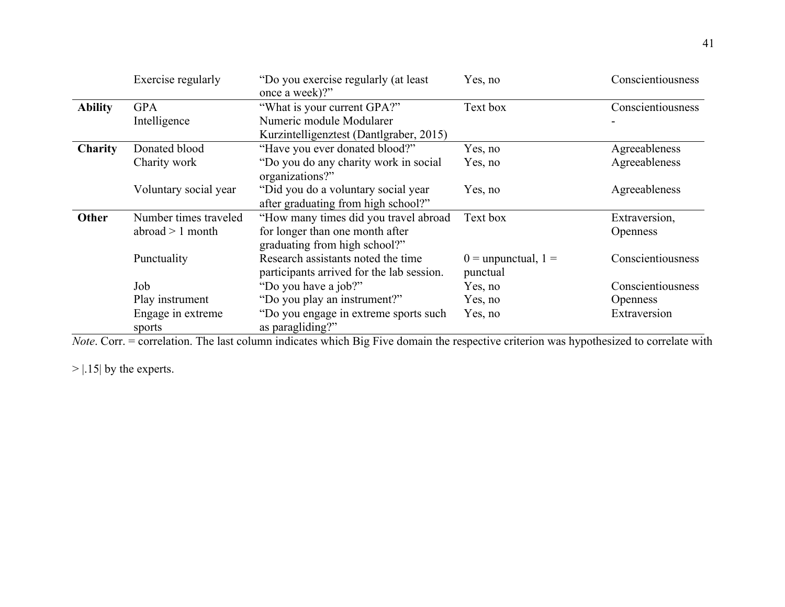|                | Exercise regularly          | "Do you exercise regularly (at least<br>once a week)?"                          | Yes, no                             | Conscientiousness |
|----------------|-----------------------------|---------------------------------------------------------------------------------|-------------------------------------|-------------------|
| <b>Ability</b> | <b>GPA</b>                  | "What is your current GPA?"                                                     | Text box                            | Conscientiousness |
|                | Intelligence                | Numeric module Modularer                                                        |                                     |                   |
|                |                             | Kurzintelligenztest (Dantlgraber, 2015)                                         |                                     |                   |
| <b>Charity</b> | Donated blood               | "Have you ever donated blood?"                                                  | Yes, no                             | Agreeableness     |
|                | Charity work                | "Do you do any charity work in social<br>organizations?"                        | Yes, no                             | Agreeableness     |
|                | Voluntary social year       | "Did you do a voluntary social year<br>after graduating from high school?"      | Yes, no                             | Agreeableness     |
| Other          | Number times traveled       | "How many times did you travel abroad                                           | Text box                            | Extraversion,     |
|                | abroad $> 1$ month          | for longer than one month after<br>graduating from high school?"                |                                     | <b>Openness</b>   |
|                | Punctuality                 | Research assistants noted the time<br>participants arrived for the lab session. | $0 =$ unpunctual, $1 =$<br>punctual | Conscientiousness |
|                | Job                         | "Do you have a job?"                                                            | Yes, no                             | Conscientiousness |
|                | Play instrument             | "Do you play an instrument?"                                                    | Yes, no                             | <b>Openness</b>   |
|                | Engage in extreme<br>sports | "Do you engage in extreme sports such<br>as paragliding?"                       | Yes, no                             | Extraversion      |

*Note*. Corr. = correlation. The last column indicates which Big Five domain the respective criterion was hypothesized to correlate with

 $>$  | .15| by the experts.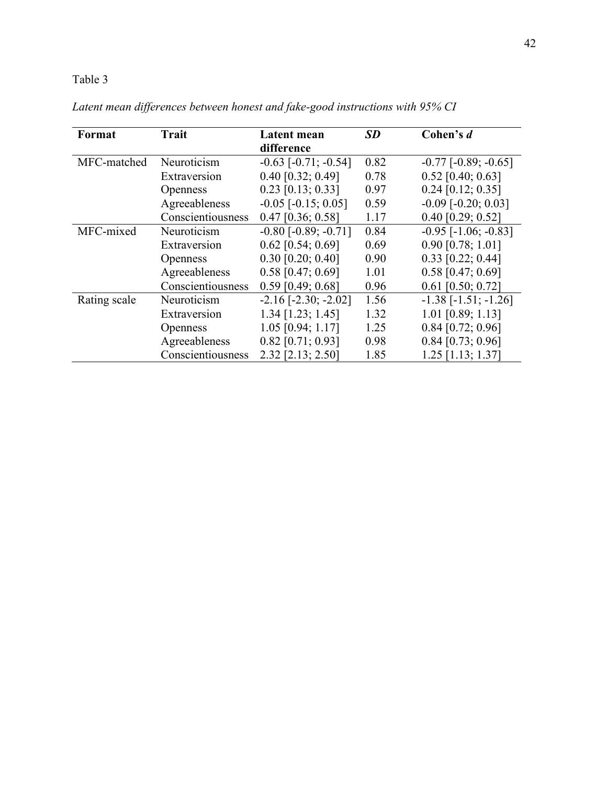## Table 3

| <b>Trait</b><br>Format     |                   | Latent mean                   | <b>SD</b> | Cohen's d                     |
|----------------------------|-------------------|-------------------------------|-----------|-------------------------------|
|                            |                   | difference                    |           |                               |
| Neuroticism<br>MFC-matched |                   | $-0.63$ $[-0.71; -0.54]$      | 0.82      | $-0.77$ $[-0.89; -0.65]$      |
|                            | Extraversion      | $0.40$ [0.32; 0.49]           | 0.78      | $0.52$ [0.40; 0.63]           |
|                            | <b>Openness</b>   | $0.23$ [0.13; 0.33]           | 0.97      | $0.24$ [0.12; 0.35]           |
|                            | Agreeableness     | $-0.05$ [ $-0.15$ ; 0.05]     | 0.59      | $-0.09$ $[-0.20; 0.03]$       |
|                            | Conscientiousness | $0.47$ [0.36; 0.58]           | 1.17      | $0.40$ [0.29; 0.52]           |
| MFC-mixed                  | Neuroticism       | $-0.80$ [ $-0.89$ ; $-0.71$ ] | 0.84      | $-0.95$ [ $-1.06$ ; $-0.83$ ] |
|                            | Extraversion      | $0.62$ [0.54; 0.69]           | 0.69      | $0.90$ [0.78; 1.01]           |
|                            | <b>Openness</b>   | $0.30$ [0.20; 0.40]           | 0.90      | $0.33$ [0.22; 0.44]           |
|                            | Agreeableness     | $0.58$ [0.47; 0.69]           | 1.01      | $0.58$ [0.47; 0.69]           |
|                            | Conscientiousness | $0.59$ [0.49; 0.68]           | 0.96      | $0.61$ [0.50; 0.72]           |
| Rating scale               | Neuroticism       | $-2.16$ $[-2.30; -2.02]$      | 1.56      | $-1.38$ $[-1.51; -1.26]$      |
|                            | Extraversion      | $1.34$ [1.23; 1.45]           | 1.32      | $1.01$ [0.89; 1.13]           |
|                            | <b>Openness</b>   | $1.05$ [0.94; 1.17]           | 1.25      | $0.84$ [0.72; 0.96]           |
|                            | Agreeableness     | $0.82$ [0.71; 0.93]           | 0.98      | $0.84$ [0.73; 0.96]           |
|                            | Conscientiousness | 2.32 [2.13; 2.50]             | 1.85      | $1.25$ [1.13; 1.37]           |

*Latent mean differences between honest and fake-good instructions with 95% CI*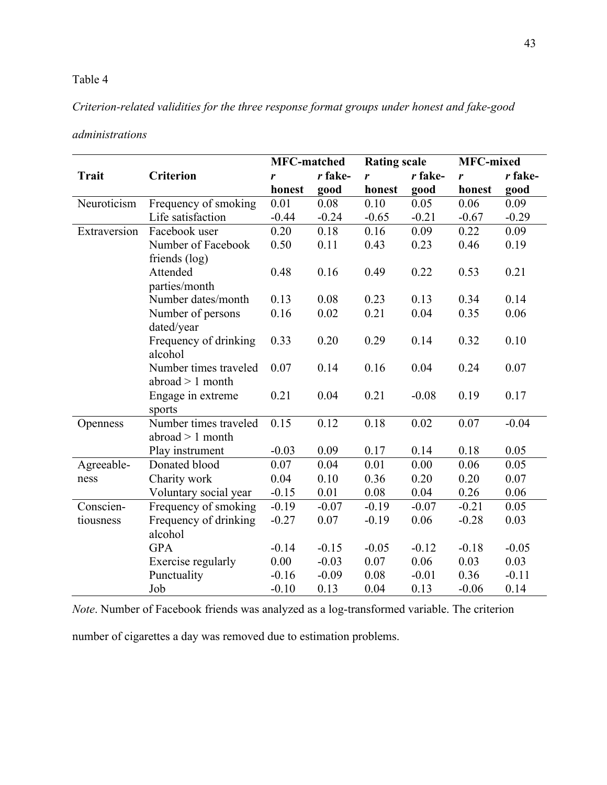#### Table 4

#### *Criterion-related validities for the three response format groups under honest and fake-good*

#### *administrations*

|              |                       | <b>MFC-matched</b> |         | <b>Rating scale</b> |         | <b>MFC-mixed</b> |         |
|--------------|-----------------------|--------------------|---------|---------------------|---------|------------------|---------|
| <b>Trait</b> | <b>Criterion</b>      | r                  | r fake- | r                   | r fake- | r                | r fake- |
|              |                       | honest             | good    | honest              | good    | honest           | good    |
| Neuroticism  | Frequency of smoking  | 0.01               | 0.08    | 0.10                | 0.05    | 0.06             | 0.09    |
|              | Life satisfaction     | $-0.44$            | $-0.24$ | $-0.65$             | $-0.21$ | $-0.67$          | $-0.29$ |
| Extraversion | Facebook user         | 0.20               | 0.18    | 0.16                | 0.09    | 0.22             | 0.09    |
|              | Number of Facebook    | 0.50               | 0.11    | 0.43                | 0.23    | 0.46             | 0.19    |
|              | friends (log)         |                    |         |                     |         |                  |         |
|              | Attended              | 0.48               | 0.16    | 0.49                | 0.22    | 0.53             | 0.21    |
|              | parties/month         |                    |         |                     |         |                  |         |
|              | Number dates/month    | 0.13               | 0.08    | 0.23                | 0.13    | 0.34             | 0.14    |
|              | Number of persons     | 0.16               | 0.02    | 0.21                | 0.04    | 0.35             | 0.06    |
|              | dated/year            |                    |         |                     |         |                  |         |
|              | Frequency of drinking | 0.33               | 0.20    | 0.29                | 0.14    | 0.32             | 0.10    |
|              | alcohol               |                    |         |                     |         |                  |         |
|              | Number times traveled | 0.07               | 0.14    | 0.16                | 0.04    | 0.24             | 0.07    |
|              | $abroad > 1$ month    |                    |         |                     |         |                  |         |
|              | Engage in extreme     | 0.21               | 0.04    | 0.21                | $-0.08$ | 0.19             | 0.17    |
|              | sports                |                    |         |                     |         |                  |         |
| Openness     | Number times traveled | 0.15               | 0.12    | 0.18                | 0.02    | 0.07             | $-0.04$ |
|              | abroad $> 1$ month    |                    |         |                     |         |                  |         |
|              | Play instrument       | $-0.03$            | 0.09    | 0.17                | 0.14    | 0.18             | 0.05    |
| Agreeable-   | Donated blood         | 0.07               | 0.04    | 0.01                | 0.00    | 0.06             | 0.05    |
| ness         | Charity work          | 0.04               | 0.10    | 0.36                | 0.20    | 0.20             | 0.07    |
|              | Voluntary social year | $-0.15$            | 0.01    | 0.08                | 0.04    | 0.26             | 0.06    |
| Conscien-    | Frequency of smoking  | $-0.19$            | $-0.07$ | $-0.19$             | $-0.07$ | $-0.21$          | 0.05    |
| tiousness    | Frequency of drinking | $-0.27$            | 0.07    | $-0.19$             | 0.06    | $-0.28$          | 0.03    |
|              | alcohol               |                    |         |                     |         |                  |         |
|              | <b>GPA</b>            | $-0.14$            | $-0.15$ | $-0.05$             | $-0.12$ | $-0.18$          | $-0.05$ |
|              | Exercise regularly    | 0.00               | $-0.03$ | 0.07                | 0.06    | 0.03             | 0.03    |
|              | Punctuality           | $-0.16$            | $-0.09$ | 0.08                | $-0.01$ | 0.36             | $-0.11$ |
|              | Job                   | $-0.10$            | 0.13    | 0.04                | 0.13    | $-0.06$          | 0.14    |

*Note*. Number of Facebook friends was analyzed as a log-transformed variable. The criterion

number of cigarettes a day was removed due to estimation problems.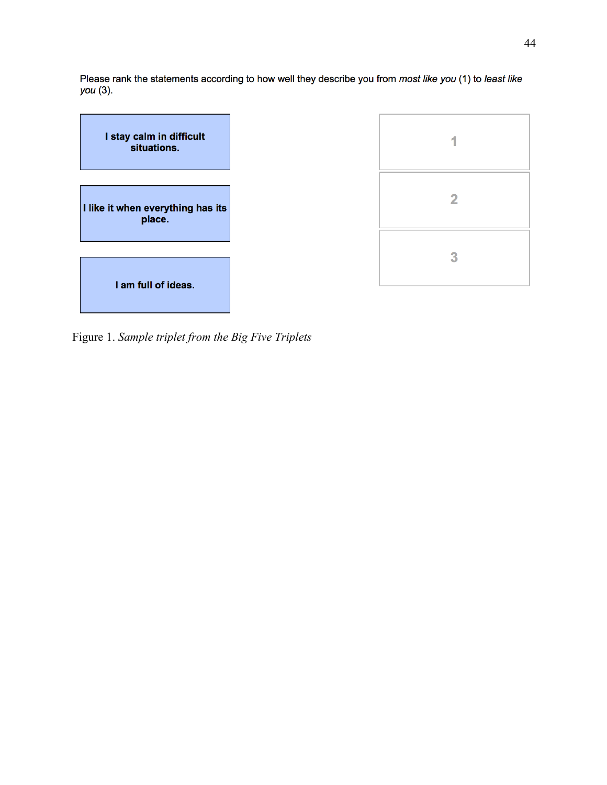Please rank the statements according to how well they describe you from most like you (1) to least like you (3).



Figure 1. *Sample triplet from the Big Five Triplets*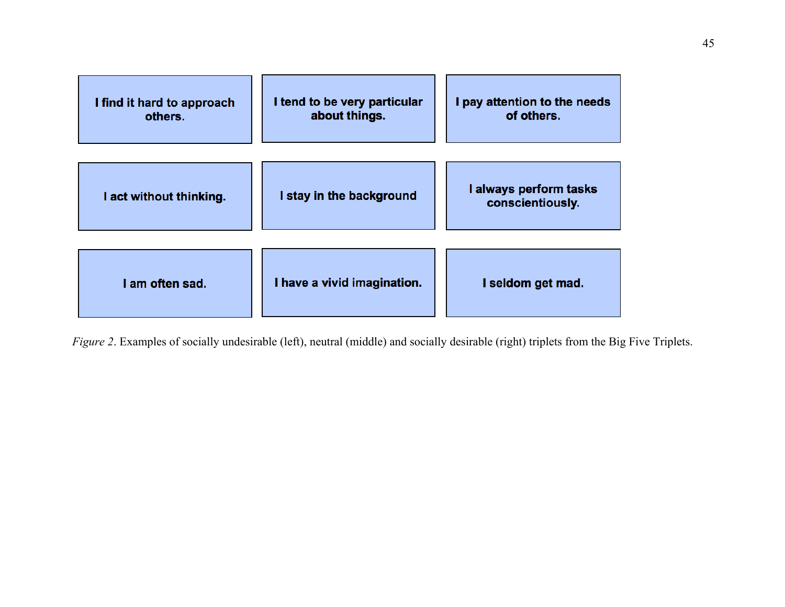| I find it hard to approach<br>others. | I tend to be very particular<br>about things. | I pay attention to the needs<br>of others. |  |  |
|---------------------------------------|-----------------------------------------------|--------------------------------------------|--|--|
| I act without thinking.               | I stay in the background                      | I always perform tasks<br>conscientiously. |  |  |
| I am often sad.                       | I have a vivid imagination.                   | I seldom get mad.                          |  |  |

*Figure 2*. Examples of socially undesirable (left), neutral (middle) and socially desirable (right) triplets from the Big Five Triplets.